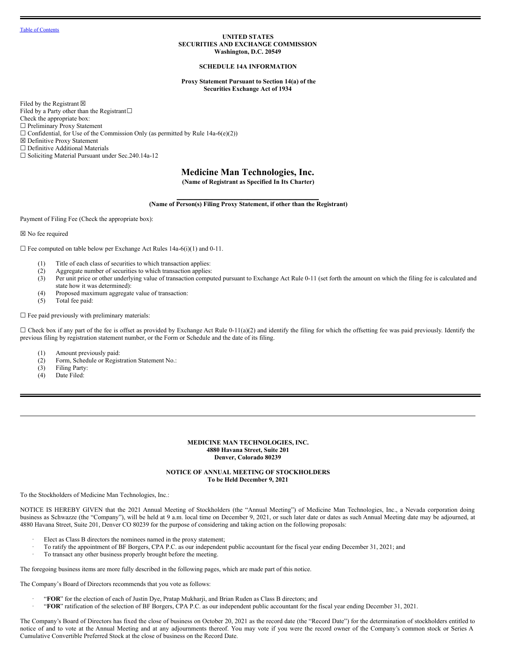### **UNITED STATES SECURITIES AND EXCHANGE COMMISSION Washington, D.C. 20549**

### **SCHEDULE 14A INFORMATION**

**Proxy Statement Pursuant to Section 14(a) of the Securities Exchange Act of 1934**

Filed by the Registrant  $\boxtimes$ Filed by a Party other than the Registrant $□$ Check the appropriate box: ☐ Preliminary Proxy Statement  $\Box$  Confidential, for Use of the Commission Only (as permitted by Rule 14a-6(e)(2)) ☒ Definitive Proxy Statement ☐ Definitive Additional Materials ☐ Soliciting Material Pursuant under Sec.240.14a-12

# **Medicine Man Technologies, Inc.**

**(Name of Registrant as Specified In Its Charter)**

**\_\_\_\_\_\_\_\_\_\_\_\_\_\_\_\_\_\_\_\_\_\_\_\_\_\_\_\_\_\_\_\_\_\_\_\_\_\_\_\_\_\_\_\_ (Name of Person(s) Filing Proxy Statement, if other than the Registrant)**

Payment of Filing Fee (Check the appropriate box):

☒ No fee required

 $\Box$  Fee computed on table below per Exchange Act Rules 14a-6(i)(1) and 0-11.

- (1) Title of each class of securities to which transaction applies:
- (2) Aggregate number of securities to which transaction applies:
- (3) Per unit price or other underlying value of transaction computed pursuant to Exchange Act Rule 0-11 (set forth the amount on which the filing fee is calculated and state how it was determined):
- (4) Proposed maximum aggregate value of transaction:
- (5) Total fee paid:

 $\Box$  Fee paid previously with preliminary materials:

 $\Box$  Check box if any part of the fee is offset as provided by Exchange Act Rule 0-11(a)(2) and identify the filing for which the offsetting fee was paid previously. Identify the previous filing by registration statement number, or the Form or Schedule and the date of its filing.

- (1) Amount previously paid:
- (2) Form, Schedule or Registration Statement No.:
- (3) Filing Party:
- (4) Date Filed:

### **MEDICINE MAN TECHNOLOGIES, INC. 4880 Havana Street, Suite 201 Denver, Colorado 80239**

### **NOTICE OF ANNUAL MEETING OF STOCKHOLDERS To be Held December 9, 2021**

To the Stockholders of Medicine Man Technologies, Inc.:

NOTICE IS HEREBY GIVEN that the 2021 Annual Meeting of Stockholders (the "Annual Meeting") of Medicine Man Technologies, Inc., a Nevada corporation doing business as Schwazze (the "Company"), will be held at 9 a.m. local time on December 9, 2021, or such later date or dates as such Annual Meeting date may be adjourned, at 4880 Havana Street, Suite 201, Denver CO 80239 for the purpose of considering and taking action on the following proposals:

- Elect as Class B directors the nominees named in the proxy statement;
- · To ratify the appointment of BF Borgers, CPA P.C. as our independent public accountant for the fiscal year ending December 31, 2021; and
- To transact any other business properly brought before the meeting.

The foregoing business items are more fully described in the following pages, which are made part of this notice.

The Company's Board of Directors recommends that you vote as follows:

- · "**FOR**" for the election of each of Justin Dye, Pratap Mukharji, and Brian Ruden as Class B directors; and
- · "**FOR**" ratification of the selection of BF Borgers, CPA P.C. as our independent public accountant for the fiscal year ending December 31, 2021.

The Company's Board of Directors has fixed the close of business on October 20, 2021 as the record date (the "Record Date") for the determination of stockholders entitled to notice of and to vote at the Annual Meeting and at any adjournments thereof. You may vote if you were the record owner of the Company's common stock or Series A Cumulative Convertible Preferred Stock at the close of business on the Record Date.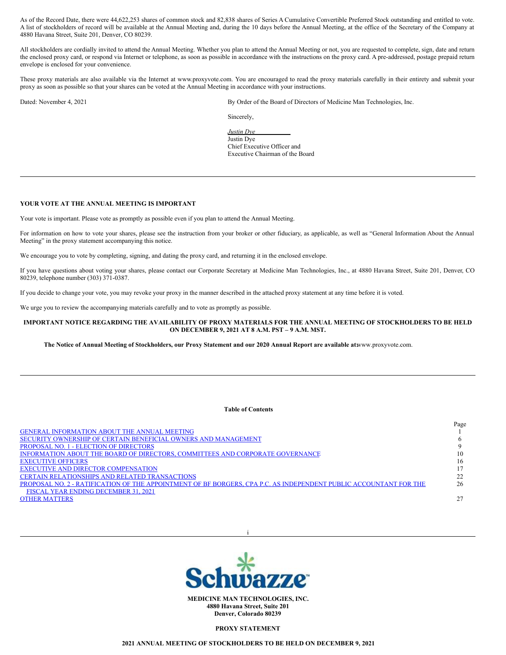As of the Record Date, there were 44,622,253 shares of common stock and 82,838 shares of Series A Cumulative Convertible Preferred Stock outstanding and entitled to vote. A list of stockholders of record will be available at the Annual Meeting and, during the 10 days before the Annual Meeting, at the office of the Secretary of the Company at 4880 Havana Street, Suite 201, Denver, CO 80239.

All stockholders are cordially invited to attend the Annual Meeting. Whether you plan to attend the Annual Meeting or not, you are requested to complete, sign, date and return the enclosed proxy card, or respond via Internet or telephone, as soon as possible in accordance with the instructions on the proxy card. A pre-addressed, postage prepaid return envelope is enclosed for your convenience.

These proxy materials are also available via the Internet at www.proxyvote.com. You are encouraged to read the proxy materials carefully in their entirety and submit your proxy as soon as possible so that your shares can be voted at the Annual Meeting in accordance with your instructions.

Dated: November 4, 2021 By Order of the Board of Directors of Medicine Man Technologies, Inc.

Sincerely,

*Justin Dye* Justin Dye Chief Executive Officer and Executive Chairman of the Board

# **YOUR VOTE AT THE ANNUAL MEETING IS IMPORTANT**

Your vote is important. Please vote as promptly as possible even if you plan to attend the Annual Meeting.

For information on how to vote your shares, please see the instruction from your broker or other fiduciary, as applicable, as well as "General Information About the Annual Meeting" in the proxy statement accompanying this notice.

We encourage you to vote by completing, signing, and dating the proxy card, and returning it in the enclosed envelope.

If you have questions about voting your shares, please contact our Corporate Secretary at Medicine Man Technologies, Inc., at 4880 Havana Street, Suite 201, Denver, CO 80239, telephone number (303) 371-0387.

If you decide to change your vote, you may revoke your proxy in the manner described in the attached proxy statement at any time before it is voted.

We urge you to review the accompanying materials carefully and to vote as promptly as possible.

### IMPORTANT NOTICE REGARDING THE AVAILABILITY OF PROXY MATERIALS FOR THE ANNUAL MEETING OF STOCKHOLDERS TO BE HELD **ON DECEMBER 9, 2021 AT 8 A.M. PST – 9 A.M. MST.**

The Notice of Annual Meeting of Stockholders, our Proxy Statement and our 2020 Annual Report are available atwww.proxyvote.com.

### <span id="page-1-0"></span>**Table of Contents**

|                                                                                                                   | Page |
|-------------------------------------------------------------------------------------------------------------------|------|
| <b>GENERAL INFORMATION ABOUT THE ANNUAL MEETING</b>                                                               |      |
| SECURITY OWNERSHIP OF CERTAIN BENEFICIAL OWNERS AND MANAGEMENT                                                    |      |
| <b>PROPOSAL NO. 1 - ELECTION OF DIRECTORS</b>                                                                     |      |
| INFORMATION ABOUT THE BOARD OF DIRECTORS, COMMITTEES AND CORPORATE GOVERNANCE                                     | 10   |
| <b>EXECUTIVE OFFICERS</b>                                                                                         | 16   |
| <b>EXECUTIVE AND DIRECTOR COMPENSATION</b>                                                                        |      |
| <b>CERTAIN RELATIONSHIPS AND RELATED TRANSACTIONS</b>                                                             | 22   |
| PROPOSAL NO. 2 - RATIFICATION OF THE APPOINTMENT OF BF BORGERS, CPA P.C. AS INDEPENDENT PUBLIC ACCOUNTANT FOR THE | 26   |
| FISCAL YEAR ENDING DECEMBER 31, 2021                                                                              |      |
| <b>OTHER MATTERS</b>                                                                                              |      |
|                                                                                                                   |      |



i

**PROXY STATEMENT**

**2021 ANNUAL MEETING OF STOCKHOLDERS TO BE HELD ON DECEMBER 9, 2021**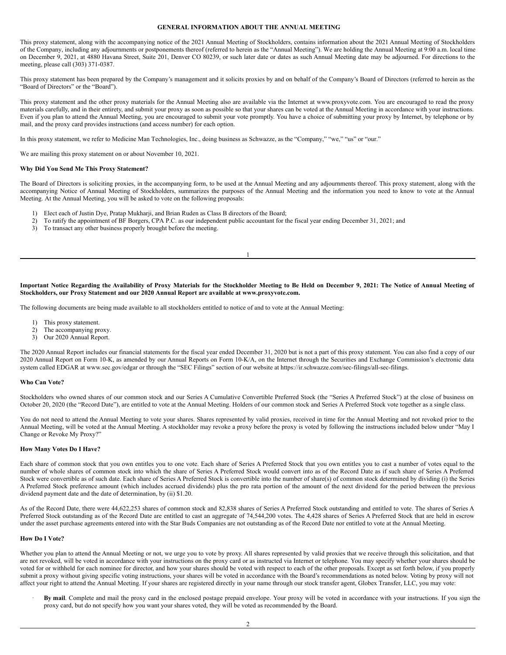# <span id="page-2-0"></span>**GENERAL INFORMATION ABOUT THE ANNUAL MEETING**

This proxy statement, along with the accompanying notice of the 2021 Annual Meeting of Stockholders, contains information about the 2021 Annual Meeting of Stockholders of the Company, including any adjournments or postponements thereof (referred to herein as the "Annual Meeting"). We are holding the Annual Meeting at 9:00 a.m. local time on December 9, 2021, at 4880 Havana Street, Suite 201, Denver CO 80239, or such later date or dates as such Annual Meeting date may be adjourned. For directions to the meeting, please call (303) 371-0387.

This proxy statement has been prepared by the Company's management and it solicits proxies by and on behalf of the Company's Board of Directors (referred to herein as the "Board of Directors" or the "Board").

This proxy statement and the other proxy materials for the Annual Meeting also are available via the Internet at www.proxyvote.com. You are encouraged to read the proxy materials carefully, and in their entirety, and submit your proxy as soon as possible so that your shares can be voted at the Annual Meeting in accordance with your instructions. Even if you plan to attend the Annual Meeting, you are encouraged to submit your vote promptly. You have a choice of submitting your proxy by Internet, by telephone or by mail, and the proxy card provides instructions (and access number) for each option.

In this proxy statement, we refer to Medicine Man Technologies, Inc., doing business as Schwazze, as the "Company," "we," "us" or "our."

We are mailing this proxy statement on or about November 10, 2021.

#### **Why Did You Send Me This Proxy Statement?**

The Board of Directors is soliciting proxies, in the accompanying form, to be used at the Annual Meeting and any adjournments thereof. This proxy statement, along with the accompanying Notice of Annual Meeting of Stockholders, summarizes the purposes of the Annual Meeting and the information you need to know to vote at the Annual Meeting. At the Annual Meeting, you will be asked to vote on the following proposals:

- 1) Elect each of Justin Dye, Pratap Mukharji, and Brian Ruden as Class B directors of the Board;
- 2) To ratify the appointment of BF Borgers, CPA P.C. as our independent public accountant for the fiscal year ending December 31, 2021; and
- 3) To transact any other business properly brought before the meeting.

Important Notice Regarding the Availability of Proxy Materials for the Stockholder Meeting to Be Held on December 9, 2021: The Notice of Annual Meeting of **Stockholders, our Proxy Statement and our 2020 Annual Report are available at www.proxyvote.com.**

1

The following documents are being made available to all stockholders entitled to notice of and to vote at the Annual Meeting:

- 1) This proxy statement.
- 2) The accompanying proxy.
- 3) Our 2020 Annual Report.

The 2020 Annual Report includes our financial statements for the fiscal year ended December 31, 2020 but is not a part of this proxy statement. You can also find a copy of our 2020 Annual Report on Form 10-K, as amended by our Annual Reports on Form 10-K/A, on the Internet through the Securities and Exchange Commission's electronic data system called EDGAR at www.sec.gov/edgar or through the "SEC Filings" section of our website at https://ir.schwazze.com/sec-filings/all-sec-filings.

#### **Who Can Vote?**

Stockholders who owned shares of our common stock and our Series A Cumulative Convertible Preferred Stock (the "Series A Preferred Stock") at the close of business on October 20, 2020 (the "Record Date"), are entitled to vote at the Annual Meeting. Holders of our common stock and Series A Preferred Stock vote together as a single class.

You do not need to attend the Annual Meeting to vote your shares. Shares represented by valid proxies, received in time for the Annual Meeting and not revoked prior to the Annual Meeting, will be voted at the Annual Meeting. A stockholder may revoke a proxy before the proxy is voted by following the instructions included below under "May I Change or Revoke My Proxy?"

### **How Many Votes Do I Have?**

Each share of common stock that you own entitles you to one vote. Each share of Series A Preferred Stock that you own entitles you to cast a number of votes equal to the number of whole shares of common stock into which the share of Series A Preferred Stock would convert into as of the Record Date as if such share of Series A Preferred Stock were convertible as of such date. Each share of Series A Preferred Stock is convertible into the number of share(s) of common stock determined by dividing (i) the Series A Preferred Stock preference amount (which includes accrued dividends) plus the pro rata portion of the amount of the next dividend for the period between the previous dividend payment date and the date of determination, by (ii) \$1.20.

As of the Record Date, there were 44,622,253 shares of common stock and 82,838 shares of Series A Preferred Stock outstanding and entitled to vote. The shares of Series A Preferred Stock outstanding as of the Record Date are entitled to cast an aggregate of 74,544,200 votes. The 4,428 shares of Series A Preferred Stock that are held in escrow under the asset purchase agreements entered into with the Star Buds Companies are not outstanding as of the Record Date nor entitled to vote at the Annual Meeting.

#### **How Do I Vote?**

Whether you plan to attend the Annual Meeting or not, we urge you to vote by proxy. All shares represented by valid proxies that we receive through this solicitation, and that are not revoked, will be voted in accordance with your instructions on the proxy card or as instructed via Internet or telephone. You may specify whether your shares should be voted for or withheld for each nominee for director, and how your shares should be voted with respect to each of the other proposals. Except as set forth below, if you properly submit a proxy without giving specific voting instructions, your shares will be voted in accordance with the Board's recommendations as noted below. Voting by proxy will not affect your right to attend the Annual Meeting. If your shares are registered directly in your name through our stock transfer agent, Globex Transfer, LLC, you may vote:

· **By mail**. Complete and mail the proxy card in the enclosed postage prepaid envelope. Your proxy will be voted in accordance with your instructions. If you sign the proxy card, but do not specify how you want your shares voted, they will be voted as recommended by the Board.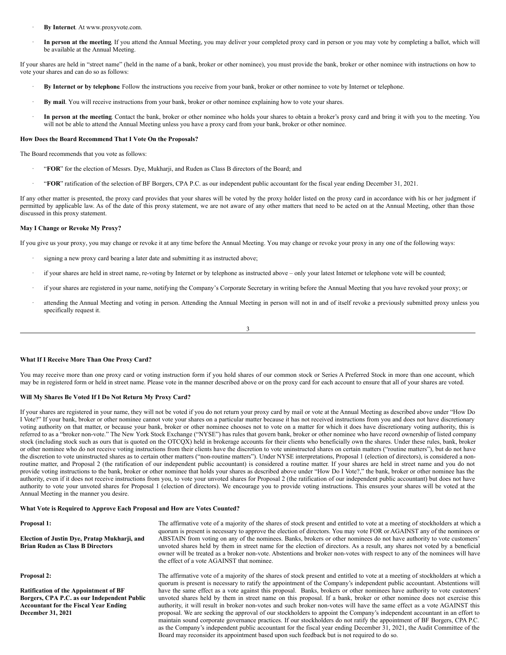- · **By Internet**. At www.proxyvote.com.
- · **In person at the meeting**. If you attend the Annual Meeting, you may deliver your completed proxy card in person or you may vote by completing a ballot, which will be available at the Annual Meeting.

If your shares are held in "street name" (held in the name of a bank, broker or other nominee), you must provide the bank, broker or other nominee with instructions on how to vote your shares and can do so as follows:

- · **By Internet or by telephone**. Follow the instructions you receive from your bank, broker or other nominee to vote by Internet or telephone.
- · **By mail**. You will receive instructions from your bank, broker or other nominee explaining how to vote your shares.
- · **In person at the meeting**. Contact the bank, broker or other nominee who holds your shares to obtain a broker's proxy card and bring it with you to the meeting. You will not be able to attend the Annual Meeting unless you have a proxy card from your bank, broker or other nominee.

#### **How Does the Board Recommend That I Vote On the Proposals?**

The Board recommends that you vote as follows:

- · "**FOR**" for the election of Messrs. Dye, Mukharji, and Ruden as Class B directors of the Board; and
- · "**FOR**" ratification of the selection of BF Borgers, CPA P.C. as our independent public accountant for the fiscal year ending December 31, 2021.

If any other matter is presented, the proxy card provides that your shares will be voted by the proxy holder listed on the proxy card in accordance with his or her judgment if permitted by applicable law. As of the date of this proxy statement, we are not aware of any other matters that need to be acted on at the Annual Meeting, other than those discussed in this proxy statement.

#### **May I Change or Revoke My Proxy?**

If you give us your proxy, you may change or revoke it at any time before the Annual Meeting. You may change or revoke your proxy in any one of the following ways:

- signing a new proxy card bearing a later date and submitting it as instructed above;
- · if your shares are held in street name, re-voting by Internet or by telephone as instructed above only your latest Internet or telephone vote will be counted;
- · if your shares are registered in your name, notifying the Company's Corporate Secretary in writing before the Annual Meeting that you have revoked your proxy; or
- attending the Annual Meeting and voting in person. Attending the Annual Meeting in person will not in and of itself revoke a previously submitted proxy unless you specifically request it.

#### 3

### **What If I Receive More Than One Proxy Card?**

You may receive more than one proxy card or voting instruction form if you hold shares of our common stock or Series A Preferred Stock in more than one account, which may be in registered form or held in street name. Please vote in the manner described above or on the proxy card for each account to ensure that all of your shares are voted.

### **Will My Shares Be Voted If I Do Not Return My Proxy Card?**

If your shares are registered in your name, they will not be voted if you do not return your proxy card by mail or vote at the Annual Meeting as described above under "How Do I Vote?" If your bank, broker or other nominee cannot vote your shares on a particular matter because it has not received instructions from you and does not have discretionary voting authority on that matter, or because your bank, broker or other nominee chooses not to vote on a matter for which it does have discretionary voting authority, this is referred to as a "broker non-vote." The New York Stock Exchange ("NYSE") has rules that govern bank, broker or other nominee who have record ownership of listed company stock (including stock such as ours that is quoted on the OTCQX) held in brokerage accounts for their clients who beneficially own the shares. Under these rules, bank, broker or other nominee who do not receive voting instructions from their clients have the discretion to vote uninstructed shares on certain matters ("routine matters"), but do not have the discretion to vote uninstructed shares as to certain other matters ("non-routine matters"). Under NYSE interpretations, Proposal 1 (election of directors), is considered a nonroutine matter, and Proposal 2 (the ratification of our independent public accountant) is considered a routine matter. If your shares are held in street name and you do not provide voting instructions to the bank, broker or other nominee that holds your shares as described above under "How Do I Vote?," the bank, broker or other nominee has the authority, even if it does not receive instructions from you, to vote your unvoted shares for Proposal 2 (the ratification of our independent public accountant) but does not have authority to vote your unvoted shares for Proposal 1 (election of directors). We encourage you to provide voting instructions. This ensures your shares will be voted at the Annual Meeting in the manner you desire.

### **What Vote is Required to Approve Each Proposal and How are Votes Counted?**

#### **Proposal 1:**

**Election of Justin Dye, Pratap Mukharji, and Brian Ruden as Class B Directors**

**Proposal 2:**

**Ratification of the Appointment of BF Borgers, CPA P.C. as our Independent Public Accountant for the Fiscal Year Ending December 31, 2021**

The affirmative vote of a majority of the shares of stock present and entitled to vote at a meeting of stockholders at which a quorum is present is necessary to approve the election of directors. You may vote FOR or AGAINST any of the nominees or ABSTAIN from voting on any of the nominees. Banks, brokers or other nominees do not have authority to vote customers' unvoted shares held by them in street name for the election of directors. As a result, any shares not voted by a beneficial owner will be treated as a broker non-vote. Abstentions and broker non-votes with respect to any of the nominees will have the effect of a vote AGAINST that nominee.

The affirmative vote of a majority of the shares of stock present and entitled to vote at a meeting of stockholders at which a quorum is present is necessary to ratify the appointment of the Company's independent public accountant. Abstentions will have the same effect as a vote against this proposal. Banks, brokers or other nominees have authority to vote customers' unvoted shares held by them in street name on this proposal. If a bank, broker or other nominee does not exercise this authority, it will result in broker non-votes and such broker non-votes will have the same effect as a vote AGAINST this proposal. We are seeking the approval of our stockholders to appoint the Company's independent accountant in an effort to maintain sound corporate governance practices. If our stockholders do not ratify the appointment of BF Borgers, CPA P.C. as the Company's independent public accountant for the fiscal year ending December 31, 2021, the Audit Committee of the Board may reconsider its appointment based upon such feedback but is not required to do so.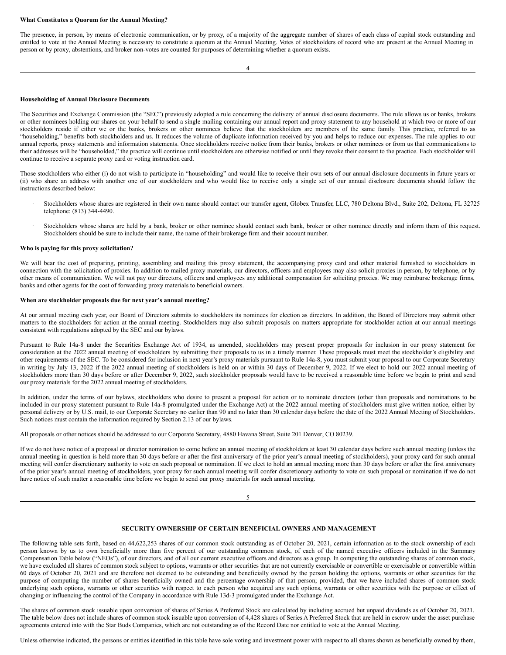#### **What Constitutes a Quorum for the Annual Meeting?**

The presence, in person, by means of electronic communication, or by proxy, of a majority of the aggregate number of shares of each class of capital stock outstanding and entitled to vote at the Annual Meeting is necessary to constitute a quorum at the Annual Meeting. Votes of stockholders of record who are present at the Annual Meeting in person or by proxy, abstentions, and broker non-votes are counted for purposes of determining whether a quorum exists.

4

#### **Householding of Annual Disclosure Documents**

The Securities and Exchange Commission (the "SEC") previously adopted a rule concerning the delivery of annual disclosure documents. The rule allows us or banks, brokers or other nominees holding our shares on your behalf to send a single mailing containing our annual report and proxy statement to any household at which two or more of our stockholders reside if either we or the banks, brokers or other nominees believe that the stockholders are members of the same family. This practice, referred to as "householding," benefits both stockholders and us. It reduces the volume of duplicate information received by you and helps to reduce our expenses. The rule applies to our annual reports, proxy statements and information statements. Once stockholders receive notice from their banks, brokers or other nominees or from us that communications to their addresses will be "householded," the practice will continue until stockholders are otherwise notified or until they revoke their consent to the practice. Each stockholder will continue to receive a separate proxy card or voting instruction card.

Those stockholders who either (i) do not wish to participate in "householding" and would like to receive their own sets of our annual disclosure documents in future years or (ii) who share an address with another one of our stockholders and who would like to receive only a single set of our annual disclosure documents should follow the instructions described below:

- · Stockholders whose shares are registered in their own name should contact our transfer agent, Globex Transfer, LLC, 780 Deltona Blvd., Suite 202, Deltona, FL 32725 telephone: (813) 344-4490.
- Stockholders whose shares are held by a bank, broker or other nominee should contact such bank, broker or other nominee directly and inform them of this request. Stockholders should be sure to include their name, the name of their brokerage firm and their account number.

#### **Who is paying for this proxy solicitation?**

We will bear the cost of preparing, printing, assembling and mailing this proxy statement, the accompanying proxy card and other material furnished to stockholders in connection with the solicitation of proxies. In addition to mailed proxy materials, our directors, officers and employees may also solicit proxies in person, by telephone, or by other means of communication. We will not pay our directors, officers and employees any additional compensation for soliciting proxies. We may reimburse brokerage firms, banks and other agents for the cost of forwarding proxy materials to beneficial owners.

### **When are stockholder proposals due for next year's annual meeting?**

At our annual meeting each year, our Board of Directors submits to stockholders its nominees for election as directors. In addition, the Board of Directors may submit other matters to the stockholders for action at the annual meeting. Stockholders may also submit proposals on matters appropriate for stockholder action at our annual meetings consistent with regulations adopted by the SEC and our bylaws.

Pursuant to Rule 14a-8 under the Securities Exchange Act of 1934, as amended, stockholders may present proper proposals for inclusion in our proxy statement for consideration at the 2022 annual meeting of stockholders by submitting their proposals to us in a timely manner. These proposals must meet the stockholder's eligibility and other requirements of the SEC. To be considered for inclusion in next year's proxy materials pursuant to Rule 14a-8, you must submit your proposal to our Corporate Secretary in writing by July 13, 2022 if the 2022 annual meeting of stockholders is held on or within 30 days of December 9, 2022. If we elect to hold our 2022 annual meeting of stockholders more than 30 days before or after December 9, 2022, such stockholder proposals would have to be received a reasonable time before we begin to print and send our proxy materials for the 2022 annual meeting of stockholders.

In addition, under the terms of our bylaws, stockholders who desire to present a proposal for action or to nominate directors (other than proposals and nominations to be included in our proxy statement pursuant to Rule 14a-8 promulgated under the Exchange Act) at the 2022 annual meeting of stockholders must give written notice, either by personal delivery or by U.S. mail, to our Corporate Secretary no earlier than 90 and no later than 30 calendar days before the date of the 2022 Annual Meeting of Stockholders. Such notices must contain the information required by Section 2.13 of our bylaws.

All proposals or other notices should be addressed to our Corporate Secretary, 4880 Havana Street, Suite 201 Denver, CO 80239.

If we do not have notice of a proposal or director nomination to come before an annual meeting of stockholders at least 30 calendar days before such annual meeting (unless the annual meeting in question is held more than 30 days before or after the first anniversary of the prior year's annual meeting of stockholders), your proxy card for such annual meeting will confer discretionary authority to vote on such proposal or nomination. If we elect to hold an annual meeting more than 30 days before or after the first anniversary of the prior year's annual meeting of stockholders, your proxy for such annual meeting will confer discretionary authority to vote on such proposal or nomination if we do not have notice of such matter a reasonable time before we begin to send our proxy materials for such annual meeting.

#### 5

### <span id="page-4-0"></span>**SECURITY OWNERSHIP OF CERTAIN BENEFICIAL OWNERS AND MANAGEMENT**

The following table sets forth, based on 44,622,253 shares of our common stock outstanding as of October 20, 2021, certain information as to the stock ownership of each person known by us to own beneficially more than five percent of our outstanding common stock, of each of the named executive officers included in the Summary Compensation Table below ("NEOs"), of our directors, and of all our current executive officers and directors as a group. In computing the outstanding shares of common stock, we have excluded all shares of common stock subject to options, warrants or other securities that are not currently exercisable or convertible or exercisable or convertible within 60 days of October 20, 2021 and are therefore not deemed to be outstanding and beneficially owned by the person holding the options, warrants or other securities for the purpose of computing the number of shares beneficially owned and the percentage ownership of that person; provided, that we have included shares of common stock underlying such options, warrants or other securities with respect to each person who acquired any such options, warrants or other securities with the purpose or effect of changing or influencing the control of the Company in accordance with Rule 13d-3 promulgated under the Exchange Act.

The shares of common stock issuable upon conversion of shares of Series A Preferred Stock are calculated by including accrued but unpaid dividends as of October 20, 2021. The table below does not include shares of common stock issuable upon conversion of 4,428 shares of Series A Preferred Stock that are held in escrow under the asset purchase agreements entered into with the Star Buds Companies, which are not outstanding as of the Record Date nor entitled to vote at the Annual Meeting.

Unless otherwise indicated, the persons or entities identified in this table have sole voting and investment power with respect to all shares shown as beneficially owned by them,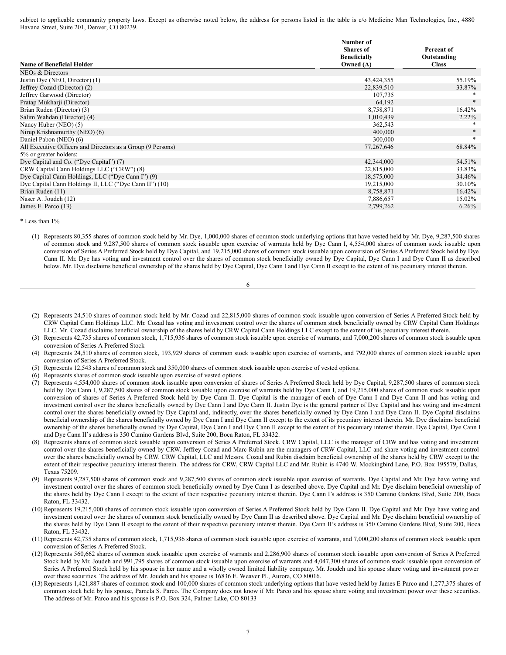subject to applicable community property laws. Except as otherwise noted below, the address for persons listed in the table is c/o Medicine Man Technologies, Inc., 4880 Havana Street, Suite 201, Denver, CO 80239.

|                                                             | Number of           |              |
|-------------------------------------------------------------|---------------------|--------------|
|                                                             | <b>Shares</b> of    | Percent of   |
|                                                             | <b>Beneficially</b> | Outstanding  |
| <b>Name of Beneficial Holder</b>                            | Owned $(A)$         | <b>Class</b> |
| NEOs & Directors                                            |                     |              |
| Justin Dye (NEO, Director) (1)                              | 43,424,355          | 55.19%       |
| Jeffrey Cozad (Director) (2)                                | 22,839,510          | 33.87%       |
| Jeffrey Garwood (Director)                                  | 107,735             |              |
| Pratap Mukharji (Director)                                  | 64,192              | $*$          |
| Brian Ruden (Director) (3)                                  | 8,758,871           | 16.42%       |
| Salim Wahdan (Director) (4)                                 | 1,010,439           | $2.22\%$     |
| Nancy Huber (NEO) (5)                                       | 362,543             |              |
| Nirup Krishnamurthy (NEO) (6)                               | 400,000             |              |
| Daniel Pabon (NEO) (6)                                      | 300,000             | $\ast$       |
| All Executive Officers and Directors as a Group (9 Persons) | 77,267,646          | 68.84%       |
| 5% or greater holders:                                      |                     |              |
| Dye Capital and Co. ("Dye Capital") (7)                     | 42,344,000          | 54.51%       |
| CRW Capital Cann Holdings LLC ("CRW") (8)                   | 22,815,000          | 33.83%       |
| Dye Capital Cann Holdings, LLC ("Dye Cann I") (9)           | 18,575,000          | 34.46%       |
| Dye Capital Cann Holdings II, LLC ("Dye Cann II") (10)      | 19,215,000          | 30.10%       |
| Brian Ruden (11)                                            | 8,758,871           | 16.42%       |
| Naser A. Joudeh (12)                                        | 7,886,657           | 15.02%       |
| James E. Parco (13)                                         | 2,799,262           | 6.26%        |

\* Less than 1%

(1) Represents 80,355 shares of common stock held by Mr. Dye, 1,000,000 shares of common stock underlying options that have vested held by Mr. Dye, 9,287,500 shares of common stock and 9,287,500 shares of common stock issuable upon exercise of warrants held by Dye Cann I, 4,554,000 shares of common stock issuable upon conversion of Series A Preferred Stock held by Dye Capital, and 19,215,000 shares of common stock issuable upon conversion of Series A Preferred Stock held by Dye Cann II. Mr. Dye has voting and investment control over the shares of common stock beneficially owned by Dye Capital, Dye Cann I and Dye Cann II as described below. Mr. Dye disclaims beneficial ownership of the shares held by Dye Capital, Dye Cann I and Dye Cann II except to the extent of his pecuniary interest therein.

| I           |  |
|-------------|--|
| I<br>×<br>٧ |  |

- (2) Represents 24,510 shares of common stock held by Mr. Cozad and 22,815,000 shares of common stock issuable upon conversion of Series A Preferred Stock held by CRW Capital Cann Holdings LLC. Mr. Cozad has voting and investment control over the shares of common stock beneficially owned by CRW Capital Cann Holdings LLC. Mr. Cozad disclaims beneficial ownership of the shares held by CRW Capital Cann Holdings LLC except to the extent of his pecuniary interest therein.
- (3) Represents 42,735 shares of common stock, 1,715,936 shares of common stock issuable upon exercise of warrants, and 7,000,200 shares of common stock issuable upon conversion of Series A Preferred Stock
- (4) Represents 24,510 shares of common stock, 193,929 shares of common stock issuable upon exercise of warrants, and 792,000 shares of common stock issuable upon conversion of Series A Preferred Stock.
- (5) Represents 12,543 shares of common stock and 350,000 shares of common stock issuable upon exercise of vested options.
- (6) Represents shares of common stock issuable upon exercise of vested options.
- (7) Represents 4,554,000 shares of common stock issuable upon conversion of shares of Series A Preferred Stock held by Dye Capital, 9,287,500 shares of common stock held by Dye Cann I, 9,287,500 shares of common stock issuable upon exercise of warrants held by Dye Cann I, and 19,215,000 shares of common stock issuable upon conversion of shares of Series A Preferred Stock held by Dye Cann II. Dye Capital is the manager of each of Dye Cann I and Dye Cann II and has voting and investment control over the shares beneficially owned by Dye Cann I and Dye Cann II. Justin Dye is the general partner of Dye Capital and has voting and investment control over the shares beneficially owned by Dye Capital and, indirectly, over the shares beneficially owned by Dye Cann I and Dye Cann II. Dye Capital disclaims beneficial ownership of the shares beneficially owned by Dye Cann I and Dye Cann II except to the extent of its pecuniary interest therein. Mr. Dye disclaims beneficial ownership of the shares beneficially owned by Dye Capital, Dye Cann I and Dye Cann II except to the extent of his pecuniary interest therein. Dye Capital, Dye Cann I and Dye Cann II's address is 350 Camino Gardens Blvd, Suite 200, Boca Raton, FL 33432.
- (8) Represents shares of common stock issuable upon conversion of Series A Preferred Stock. CRW Capital, LLC is the manager of CRW and has voting and investment control over the shares beneficially owned by CRW. Jeffrey Cozad and Marc Rubin are the managers of CRW Capital, LLC and share voting and investment control over the shares beneficially owned by CRW. CRW Capital, LLC and Messrs. Cozad and Rubin disclaim beneficial ownership of the shares held by CRW except to the extent of their respective pecuniary interest therein. The address for CRW, CRW Capital LLC and Mr. Rubin is 4740 W. Mockingbird Lane, P.O. Box 195579, Dallas, Texas 75209.
- (9) Represents 9,287,500 shares of common stock and 9,287,500 shares of common stock issuable upon exercise of warrants. Dye Capital and Mr. Dye have voting and investment control over the shares of common stock beneficially owned by Dye Cann I as described above. Dye Capital and Mr. Dye disclaim beneficial ownership of the shares held by Dye Cann I except to the extent of their respective pecuniary interest therein. Dye Cann I's address is 350 Camino Gardens Blvd, Suite 200, Boca Raton, FL 33432.
- (10) Represents 19,215,000 shares of common stock issuable upon conversion of Series A Preferred Stock held by Dye Cann II. Dye Capital and Mr. Dye have voting and investment control over the shares of common stock beneficially owned by Dye Cann II as described above. Dye Capital and Mr. Dye disclaim beneficial ownership of the shares held by Dye Cann II except to the extent of their respective pecuniary interest therein. Dye Cann II's address is 350 Camino Gardens Blvd, Suite 200, Boca Raton, FL 33432.
- (11) Represents 42,735 shares of common stock, 1,715,936 shares of common stock issuable upon exercise of warrants, and 7,000,200 shares of common stock issuable upon conversion of Series A Preferred Stock.
- (12) Represents 560,662 shares of common stock issuable upon exercise of warrants and 2,286,900 shares of common stock issuable upon conversion of Series A Preferred Stock held by Mr. Joudeh and 991,795 shares of common stock issuable upon exercise of warrants and 4,047,300 shares of common stock issuable upon conversion of Series A Preferred Stock held by his spouse in her name and a wholly owned limited liability company. Mr. Joudeh and his spouse share voting and investment power over these securities. The address of Mr. Joudeh and his spouse is 16836 E. Weaver Pl., Aurora, CO 80016.
- (13) Represents 1,421,887 shares of common stock and 100,000 shares of common stock underlying options that have vested held by James E Parco and 1,277,375 shares of common stock held by his spouse, Pamela S. Parco. The Company does not know if Mr. Parco and his spouse share voting and investment power over these securities. The address of Mr. Parco and his spouse is P.O. Box 324, Palmer Lake, CO 80133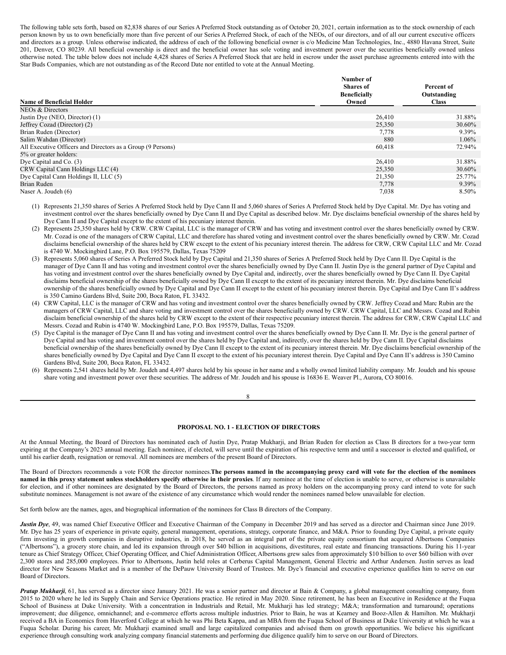The following table sets forth, based on 82,838 shares of our Series A Preferred Stock outstanding as of October 20, 2021, certain information as to the stock ownership of each person known by us to own beneficially more than five percent of our Series A Preferred Stock, of each of the NEOs, of our directors, and of all our current executive officers and directors as a group. Unless otherwise indicated, the address of each of the following beneficial owner is c/o Medicine Man Technologies, Inc., 4880 Havana Street, Suite 201, Denver, CO 80239. All beneficial ownership is direct and the beneficial owner has sole voting and investment power over the securities beneficially owned unless otherwise noted. The table below does not include 4,428 shares of Series A Preferred Stock that are held in escrow under the asset purchase agreements entered into with the Star Buds Companies, which are not outstanding as of the Record Date nor entitled to vote at the Annual Meeting.

|                                                             | Number of           |              |
|-------------------------------------------------------------|---------------------|--------------|
|                                                             | <b>Shares</b> of    | Percent of   |
|                                                             | <b>Beneficially</b> | Outstanding  |
| <b>Name of Beneficial Holder</b>                            | Owned               | <b>Class</b> |
| NEOs & Directors                                            |                     |              |
| Justin Dye (NEO, Director) (1)                              | 26,410              | 31.88%       |
| Jeffrey Cozad (Director) (2)                                | 25,350              | 30.60%       |
| Brian Ruden (Director)                                      | 7,778               | 9.39%        |
| Salim Wahdan (Director)                                     | 880                 | $1.06\%$     |
| All Executive Officers and Directors as a Group (9 Persons) | 60,418              | 72.94%       |
| 5% or greater holders:                                      |                     |              |
| Dye Capital and Co. (3)                                     | 26,410              | 31.88%       |
| CRW Capital Cann Holdings LLC (4)                           | 25,350              | 30.60%       |
| Dye Capital Cann Holdings II, LLC (5)                       | 21,350              | 25.77%       |
| Brian Ruden                                                 | 7,778               | 9.39%        |
| Naser A. Joudeh (6)                                         | 7,038               | 8.50%        |

(1) Represents 21,350 shares of Series A Preferred Stock held by Dye Cann II and 5,060 shares of Series A Preferred Stock held by Dye Capital. Mr. Dye has voting and investment control over the shares beneficially owned by Dye Cann II and Dye Capital as described below. Mr. Dye disclaims beneficial ownership of the shares held by Dye Cann II and Dye Capital except to the extent of his pecuniary interest therein.

- (2) Represents 25,350 shares held by CRW. CRW Capital, LLC is the manager of CRW and has voting and investment control over the shares beneficially owned by CRW. Mr. Cozad is one of the managers of CRW Capital, LLC and therefore has shared voting and investment control over the shares beneficially owned by CRW. Mr. Cozad disclaims beneficial ownership of the shares held by CRW except to the extent of his pecuniary interest therein. The address for CRW, CRW Capital LLC and Mr. Cozad is 4740 W. Mockingbird Lane, P.O. Box 195579, Dallas, Texas 75209
- (3) Represents 5,060 shares of Series A Preferred Stock held by Dye Capital and 21,350 shares of Series A Preferred Stock held by Dye Cann II. Dye Capital is the manager of Dye Cann II and has voting and investment control over the shares beneficially owned by Dye Cann II. Justin Dye is the general partner of Dye Capital and has voting and investment control over the shares beneficially owned by Dye Capital and, indirectly, over the shares beneficially owned by Dye Cann II. Dye Capital disclaims beneficial ownership of the shares beneficially owned by Dye Cann II except to the extent of its pecuniary interest therein. Mr. Dye disclaims beneficial ownership of the shares beneficially owned by Dye Capital and Dye Cann II except to the extent of his pecuniary interest therein. Dye Capital and Dye Cann II's address is 350 Camino Gardens Blvd, Suite 200, Boca Raton, FL 33432.
- (4) CRW Capital, LLC is the manager of CRW and has voting and investment control over the shares beneficially owned by CRW. Jeffrey Cozad and Marc Rubin are the managers of CRW Capital, LLC and share voting and investment control over the shares beneficially owned by CRW. CRW Capital, LLC and Messrs. Cozad and Rubin disclaim beneficial ownership of the shares held by CRW except to the extent of their respective pecuniary interest therein. The address for CRW, CRW Capital LLC and Messrs. Cozad and Rubin is 4740 W. Mockingbird Lane, P.O. Box 195579, Dallas, Texas 75209.
- (5) Dye Capital is the manager of Dye Cann II and has voting and investment control over the shares beneficially owned by Dye Cann II. Mr. Dye is the general partner of Dye Capital and has voting and investment control over the shares held by Dye Capital and, indirectly, over the shares held by Dye Cann II. Dye Capital disclaims beneficial ownership of the shares beneficially owned by Dye Cann II except to the extent of its pecuniary interest therein. Mr. Dye disclaims beneficial ownership of the shares beneficially owned by Dye Capital and Dye Cann II except to the extent of his pecuniary interest therein. Dye Capital and Dye Cann II's address is 350 Camino Gardens Blvd, Suite 200, Boca Raton, FL 33432.
- (6) Represents 2,541 shares held by Mr. Joudeh and 4,497 shares held by his spouse in her name and a wholly owned limited liability company. Mr. Joudeh and his spouse share voting and investment power over these securities. The address of Mr. Joudeh and his spouse is 16836 E. Weaver Pl., Aurora, CO 80016.

#### 8

### <span id="page-6-0"></span>**PROPOSAL NO. 1 - ELECTION OF DIRECTORS**

At the Annual Meeting, the Board of Directors has nominated each of Justin Dye, Pratap Mukharji, and Brian Ruden for election as Class B directors for a two-year term expiring at the Company's 2023 annual meeting. Each nominee, if elected, will serve until the expiration of his respective term and until a successor is elected and qualified, or until his earlier death, resignation or removal. All nominees are members of the present Board of Directors.

The Board of Directors recommends a vote FOR the director nominees. The persons named in the accompanying proxy card will vote for the election of the nominees named in this proxy statement unless stockholders specify otherwise in their proxies. If any nominee at the time of election is unable to serve, or otherwise is unavailable for election, and if other nominees are designated by the Board of Directors, the persons named as proxy holders on the accompanying proxy card intend to vote for such substitute nominees. Management is not aware of the existence of any circumstance which would render the nominees named below unavailable for election.

Set forth below are the names, ages, and biographical information of the nominees for Class B directors of the Company.

*Justin Dye*, 49, was named Chief Executive Officer and Executive Chairman of the Company in December 2019 and has served as a director and Chairman since June 2019. Mr. Dye has 25 years of experience in private equity, general management, operations, strategy, corporate finance, and M&A. Prior to founding Dye Capital, a private equity firm investing in growth companies in disruptive industries, in 2018, he served as an integral part of the private equity consortium that acquired Albertsons Companies ("Albertsons"), a grocery store chain, and led its expansion through over \$40 billion in acquisitions, divestitures, real estate and financing transactions. During his 11-year tenure as Chief Strategy Officer, Chief Operating Officer, and Chief Administration Officer, Albertsons grew sales from approximately \$10 billion to over \$60 billion with over 2,300 stores and 285,000 employees. Prior to Albertsons, Justin held roles at Cerberus Capital Management, General Electric and Arthur Andersen. Justin serves as lead director for New Seasons Market and is a member of the DePauw University Board of Trustees. Mr. Dye's financial and executive experience qualifies him to serve on our Board of Directors.

*Pratap Mukharji*, 61, has served as a director since January 2021. He was a senior partner and director at Bain & Company, a global management consulting company, from 2015 to 2020 where he led its Supply Chain and Service Operations practice. He retired in May 2020. Since retirement, he has been an Executive in Residence at the Fuqua School of Business at Duke University. With a concentration in Industrials and Retail, Mr. Mukharji has led strategy; M&A; transformation and turnaround; operations improvement; due diligence, omnichannel; and e-commerce efforts across multiple industries. Prior to Bain, he was at Kearney and Booz-Allen & Hamilton. Mr. Mukharji received a BA in Economics from Haverford College at which he was Phi Beta Kappa, and an MBA from the Fuqua School of Business at Duke University at which he was a Fuqua Scholar. During his career, Mr. Mukharji examined small and large capitalized companies and advised them on growth opportunities. We believe his significant experience through consulting work analyzing company financial statements and performing due diligence qualify him to serve on our Board of Directors.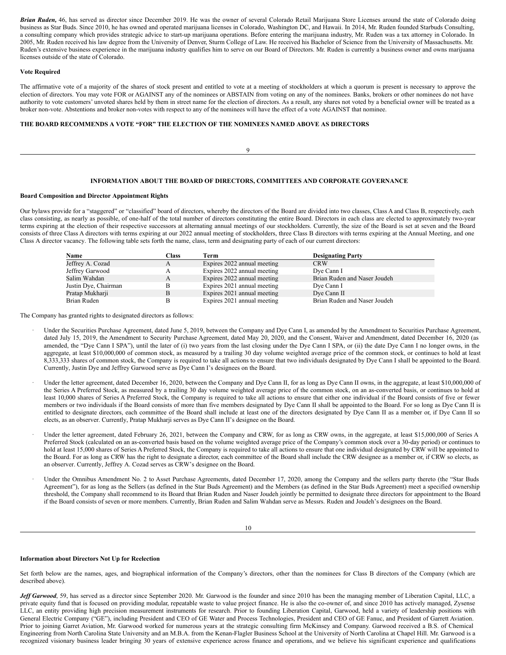*Brian Ruden,* 46, has served as director since December 2019. He was the owner of several Colorado Retail Marijuana Store Licenses around the state of Colorado doing business as Star Buds. Since 2010, he has owned and operated marijuana licenses in Colorado, Washington DC, and Hawaii. In 2014, Mr. Ruden founded Starbuds Consulting, a consulting company which provides strategic advice to start-up marijuana operations. Before entering the marijuana industry, Mr. Ruden was a tax attorney in Colorado. In 2005, Mr. Ruden received his law degree from the University of Denver, Sturm College of Law. He received his Bachelor of Science from the University of Massachusetts. Mr. Ruden's extensive business experience in the marijuana industry qualifies him to serve on our Board of Directors. Mr. Ruden is currently a business owner and owns marijuana licenses outside of the state of Colorado.

### **Vote Required**

The affirmative vote of a majority of the shares of stock present and entitled to vote at a meeting of stockholders at which a quorum is present is necessary to approve the election of directors. You may vote FOR or AGAINST any of the nominees or ABSTAIN from voting on any of the nominees. Banks, brokers or other nominees do not have authority to vote customers' unvoted shares held by them in street name for the election of directors. As a result, any shares not voted by a beneficial owner will be treated as a broker non-vote. Abstentions and broker non-votes with respect to any of the nominees will have the effect of a vote AGAINST that nominee.

### **THE BOARD RECOMMENDS A VOTE "FOR" THE ELECTION OF THE NOMINEES NAMED ABOVE AS DIRECTORS**

9

### <span id="page-7-0"></span>**INFORMATION ABOUT THE BOARD OF DIRECTORS, COMMITTEES AND CORPORATE GOVERNANCE**

#### **Board Composition and Director Appointment Rights**

Our bylaws provide for a "staggered" or "classified" board of directors, whereby the directors of the Board are divided into two classes, Class A and Class B, respectively, each class consisting, as nearly as possible, of one-half of the total number of directors constituting the entire Board. Directors in each class are elected to approximately two-year terms expiring at the election of their respective successors at alternating annual meetings of our stockholders. Currently, the size of the Board is set at seven and the Board consists of three Class A directors with terms expiring at our 2022 annual meeting of stockholders, three Class B directors with terms expiring at the Annual Meeting, and one Class A director vacancy. The following table sets forth the name, class, term and designating party of each of our current directors:

| Name                 | Class | Term                        | <b>Designating Party</b>     |
|----------------------|-------|-----------------------------|------------------------------|
| Jeffrey A. Cozad     | A     | Expires 2022 annual meeting | <b>CRW</b>                   |
| Jeffrey Garwood      |       | Expires 2022 annual meeting | Dye Cann I                   |
| Salim Wahdan         | А     | Expires 2022 annual meeting | Brian Ruden and Naser Joudeh |
| Justin Dye, Chairman |       | Expires 2021 annual meeting | Dye Cann I                   |
| Pratap Mukharji      | B     | Expires 2021 annual meeting | Dye Cann II                  |
| Brian Ruden          |       | Expires 2021 annual meeting | Brian Ruden and Naser Joudeh |

The Company has granted rights to designated directors as follows:

- Under the Securities Purchase Agreement, dated June 5, 2019, between the Company and Dye Cann I, as amended by the Amendment to Securities Purchase Agreement, dated July 15, 2019, the Amendment to Security Purchase Agreement, dated May 20, 2020, and the Consent, Waiver and Amendment, dated December 16, 2020 (as amended, the "Dye Cann I SPA"), until the later of (i) two years from the last closing under the Dye Cann I SPA, or (ii) the date Dye Cann I no longer owns, in the aggregate, at least \$10,000,000 of common stock, as measured by a trailing 30 day volume weighted average price of the common stock, or continues to hold at least 8,333,333 shares of common stock, the Company is required to take all actions to ensure that two individuals designated by Dye Cann I shall be appointed to the Board. Currently, Justin Dye and Jeffrey Garwood serve as Dye Cann I's designees on the Board.
- Under the letter agreement, dated December 16, 2020, between the Company and Dye Cann II, for as long as Dye Cann II owns, in the aggregate, at least \$10,000,000 of the Series A Preferred Stock, as measured by a trailing 30 day volume weighted average price of the common stock, on an as-converted basis, or continues to hold at least 10,000 shares of Series A Preferred Stock, the Company is required to take all actions to ensure that either one individual if the Board consists of five or fewer members or two individuals if the Board consists of more than five members designated by Dye Cann II shall be appointed to the Board. For so long as Dye Cann II is entitled to designate directors, each committee of the Board shall include at least one of the directors designated by Dye Cann II as a member or, if Dye Cann II so elects, as an observer. Currently, Pratap Mukharji serves as Dye Cann II's designee on the Board.
- Under the letter agreement, dated February 26, 2021, between the Company and CRW, for as long as CRW owns, in the aggregate, at least \$15,000,000 of Series A Preferred Stock (calculated on an as-converted basis based on the volume weighted average price of the Company's common stock over a 30-day period) or continues to hold at least 15,000 shares of Series A Preferred Stock, the Company is required to take all actions to ensure that one individual designated by CRW will be appointed to the Board. For as long as CRW has the right to designate a director, each committee of the Board shall include the CRW designee as a member or, if CRW so elects, as an observer. Currently, Jeffrey A. Cozad serves as CRW's designee on the Board.
- Under the Omnibus Amendment No. 2 to Asset Purchase Agreements, dated December 17, 2020, among the Company and the sellers party thereto (the "Star Buds Agreement"), for as long as the Sellers (as defined in the Star Buds Agreement) and the Members (as defined in the Star Buds Agreement) meet a specified ownership threshold, the Company shall recommend to its Board that Brian Ruden and Naser Joudeh jointly be permitted to designate three directors for appointment to the Board if the Board consists of seven or more members. Currently, Brian Ruden and Salim Wahdan serve as Messrs. Ruden and Joudeh's designees on the Board.

### **Information about Directors Not Up for Reelection**

Set forth below are the names, ages, and biographical information of the Company's directors, other than the nominees for Class B directors of the Company (which are described above).

*Jef Garwood*, 59, has served as a director since September 2020. Mr. Garwood is the founder and since 2010 has been the managing member of Liberation Capital, LLC, a private equity fund that is focused on providing modular, repeatable waste to value project finance. He is also the co-owner of, and since 2010 has actively managed, Zysense LLC, an entity providing high precision measurement instruments for research. Prior to founding Liberation Capital, Garwood, held a variety of leadership positions with General Electric Company ("GE"), including President and CEO of GE Water and Process Technologies, President and CEO of GE Fanuc, and President of Garrett Aviation. Prior to joining Garret Aviation, Mr. Garwood worked for numerous years at the strategic consulting firm McKinsey and Company. Garwood received a B.S. of Chemical Engineering from North Carolina State University and an M.B.A. from the Kenan-Flagler Business School at the University of North Carolina at Chapel Hill. Mr. Garwood is a recognized visionary business leader bringing 30 years of extensive experience across finance and operations, and we believe his significant experience and qualifications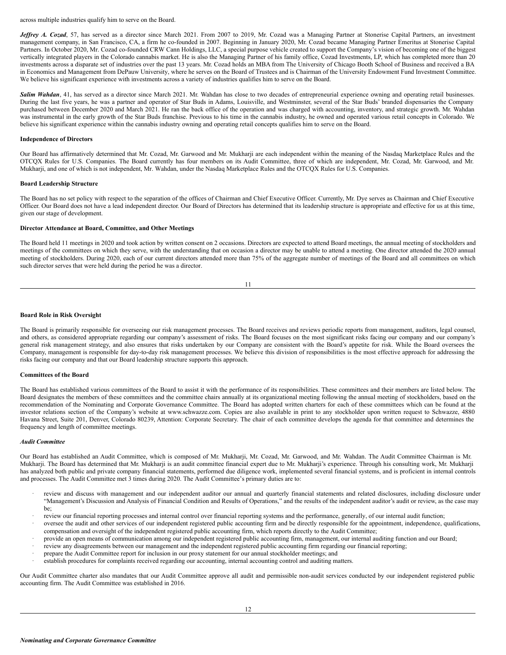across multiple industries qualify him to serve on the Board.

*Jeffrey A. Cozad*, 57, has served as a director since March 2021. From 2007 to 2019, Mr. Cozad was a Managing Partner at Stonerise Capital Partners, an investment management company, in San Francisco, CA, a firm he co-founded in 2007. Beginning in January 2020, Mr. Cozad became Managing Partner Emeritus at Stonerise Capital Partners. In October 2020, Mr. Cozad co-founded CRW Cann Holdings, LLC, a special purpose vehicle created to support the Company's vision of becoming one of the biggest vertically integrated players in the Colorado cannabis market. He is also the Managing Partner of his family office, Cozad Investments, LP, which has completed more than 20 investments across a disparate set of industries over the past 13 years. Mr. Cozad holds an MBA from The University of Chicago Booth School of Business and received a BA in Economics and Management from DePauw University, where he serves on the Board of Trustees and is Chairman of the University Endowment Fund Investment Committee. We believe his significant experience with investments across a variety of industries qualifies him to serve on the Board.

Salim Wahdan, 41, has served as a director since March 2021. Mr. Wahdan has close to two decades of entrepreneurial experience owning and operating retail businesses. During the last five years, he was a partner and operator of Star Buds in Adams, Louisville, and Westminster, several of the Star Buds' branded dispensaries the Company purchased between December 2020 and March 2021. He ran the back office of the operation and was charged with accounting, inventory, and strategic growth. Mr. Wahdan was instrumental in the early growth of the Star Buds franchise. Previous to his time in the cannabis industry, he owned and operated various retail concepts in Colorado. We believe his significant experience within the cannabis industry owning and operating retail concepts qualifies him to serve on the Board.

#### **Independence of Directors**

Our Board has affirmatively determined that Mr. Cozad, Mr. Garwood and Mr. Mukharji are each independent within the meaning of the Nasdaq Marketplace Rules and the OTCQX Rules for U.S. Companies. The Board currently has four members on its Audit Committee, three of which are independent, Mr. Cozad, Mr. Garwood, and Mr. Mukharji, and one of which is not independent, Mr. Wahdan, under the Nasdaq Marketplace Rules and the OTCQX Rules for U.S. Companies.

#### **Board Leadership Structure**

The Board has no set policy with respect to the separation of the offices of Chairman and Chief Executive Officer. Currently, Mr. Dye serves as Chairman and Chief Executive Officer. Our Board does not have a lead independent director. Our Board of Directors has determined that its leadership structure is appropriate and effective for us at this time, given our stage of development.

#### **Director Attendance at Board, Committee, and Other Meetings**

The Board held 11 meetings in 2020 and took action by written consent on 2 occasions. Directors are expected to attend Board meetings, the annual meeting of stockholders and meetings of the committees on which they serve, with the understanding that on occasion a director may be unable to attend a meeting. One director attended the 2020 annual meeting of stockholders. During 2020, each of our current directors attended more than 75% of the aggregate number of meetings of the Board and all committees on which such director serves that were held during the period he was a director.

#### **Board Role in Risk Oversight**

The Board is primarily responsible for overseeing our risk management processes. The Board receives and reviews periodic reports from management, auditors, legal counsel, and others, as considered appropriate regarding our company's assessment of risks. The Board focuses on the most significant risks facing our company and our company's general risk management strategy, and also ensures that risks undertaken by our Company are consistent with the Board's appetite for risk. While the Board oversees the Company, management is responsible for day-to-day risk management processes. We believe this division of responsibilities is the most effective approach for addressing the risks facing our company and that our Board leadership structure supports this approach.

#### **Committees of the Board**

The Board has established various committees of the Board to assist it with the performance of its responsibilities. These committees and their members are listed below. The Board designates the members of these committees and the committee chairs annually at its organizational meeting following the annual meeting of stockholders, based on the recommendation of the Nominating and Corporate Governance Committee. The Board has adopted written charters for each of these committees which can be found at the investor relations section of the Company's website at www.schwazze.com. Copies are also available in print to any stockholder upon written request to Schwazze, 4880 Havana Street, Suite 201, Denver, Colorado 80239, Attention: Corporate Secretary. The chair of each committee develops the agenda for that committee and determines the frequency and length of committee meetings.

## *Audit Committee*

Our Board has established an Audit Committee, which is composed of Mr. Mukharji, Mr. Cozad, Mr. Garwood, and Mr. Wahdan. The Audit Committee Chairman is Mr. Mukharji. The Board has determined that Mr. Mukharji is an audit committee financial expert due to Mr. Mukharji's experience. Through his consulting work, Mr. Mukharji has analyzed both public and private company financial statements, performed due diligence work, implemented several financial systems, and is proficient in internal controls and processes. The Audit Committee met 3 times during 2020. The Audit Committee's primary duties are to:

- review and discuss with management and our independent auditor our annual and quarterly financial statements and related disclosures, including disclosure under "Management's Discussion and Analysis of Financial Condition and Results of Operations," and the results of the independent auditor's audit or review, as the case may be;
- review our financial reporting processes and internal control over financial reporting systems and the performance, generally, of our internal audit function;
- · oversee the audit and other services of our independent registered public accounting firm and be directly responsible for the appointment, independence, qualifications, compensation and oversight of the independent registered public accounting firm, which reports directly to the Audit Committee;
- provide an open means of communication among our independent registered public accounting firm, management, our internal auditing function and our Board;
- · review any disagreements between our management and the independent registered public accounting firm regarding our financial reporting;
- · prepare the Audit Committee report for inclusion in our proxy statement for our annual stockholder meetings; and
- establish procedures for complaints received regarding our accounting, internal accounting control and auditing matters.

Our Audit Committee charter also mandates that our Audit Committee approve all audit and permissible non-audit services conducted by our independent registered public accounting firm. The Audit Committee was established in 2016.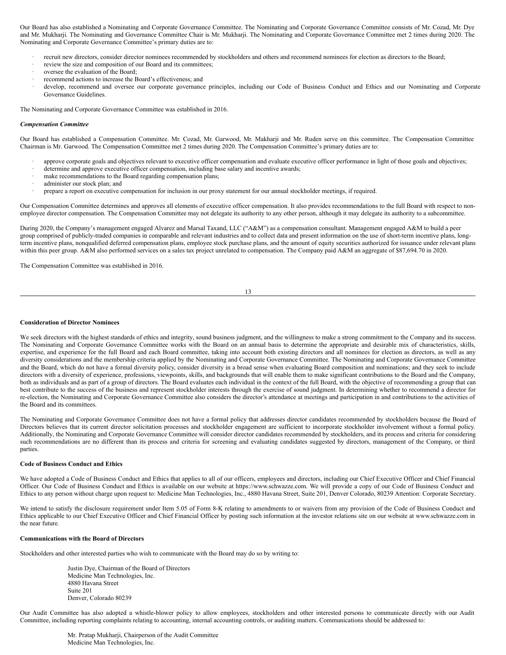Our Board has also established a Nominating and Corporate Governance Committee. The Nominating and Corporate Governance Committee consists of Mr. Cozad, Mr. Dye and Mr. Mukharji. The Nominating and Governance Committee Chair is Mr. Mukharji. The Nominating and Corporate Governance Committee met 2 times during 2020. The Nominating and Corporate Governance Committee's primary duties are to:

- recruit new directors, consider director nominees recommended by stockholders and others and recommend nominees for election as directors to the Board;
- · review the size and composition of our Board and its committees;
- oversee the evaluation of the Board;
- recommend actions to increase the Board's effectiveness; and
- develop, recommend and oversee our corporate governance principles, including our Code of Business Conduct and Ethics and our Nominating and Corporate Governance Guidelines.

The Nominating and Corporate Governance Committee was established in 2016.

#### *Compensation Committee*

Our Board has established a Compensation Committee. Mr. Cozad, Mr. Garwood, Mr. Makharji and Mr. Ruden serve on this committee. The Compensation Committee Chairman is Mr. Garwood. The Compensation Committee met 2 times during 2020. The Compensation Committee's primary duties are to:

- approve corporate goals and objectives relevant to executive officer compensation and evaluate executive officer performance in light of those goals and objectives;
- determine and approve executive officer compensation, including base salary and incentive awards;
- · make recommendations to the Board regarding compensation plans;
- administer our stock plan; and
- · prepare a report on executive compensation for inclusion in our proxy statement for our annual stockholder meetings, if required.

Our Compensation Committee determines and approves all elements of executive officer compensation. It also provides recommendations to the full Board with respect to nonemployee director compensation. The Compensation Committee may not delegate its authority to any other person, although it may delegate its authority to a subcommittee.

During 2020, the Company's management engaged Alvarez and Marsal Taxand, LLC ("A&M") as a compensation consultant. Management engaged A&M to build a peer group comprised of publicly-traded companies in comparable and relevant industries and to collect data and present information on the use of short-term incentive plans, longterm incentive plans, nonqualified deferred compensation plans, employee stock purchase plans, and the amount of equity securities authorized for issuance under relevant plans within this peer group. A&M also performed services on a sales tax project unrelated to compensation. The Company paid A&M an aggregate of \$87,694.70 in 2020.

The Compensation Committee was established in 2016.

|  | ۰. |  |
|--|----|--|

### **Consideration of Director Nominees**

We seek directors with the highest standards of ethics and integrity, sound business judgment, and the willingness to make a strong commitment to the Company and its success. The Nominating and Corporate Governance Committee works with the Board on an annual basis to determine the appropriate and desirable mix of characteristics, skills, expertise, and experience for the full Board and each Board committee, taking into account both existing directors and all nominees for election as directors, as well as any diversity considerations and the membership criteria applied by the Nominating and Corporate Governance Committee. The Nominating and Corporate Governance Committee and the Board, which do not have a formal diversity policy, consider diversity in a broad sense when evaluating Board composition and nominations; and they seek to include directors with a diversity of experience, professions, viewpoints, skills, and backgrounds that will enable them to make significant contributions to the Board and the Company, both as individuals and as part of a group of directors. The Board evaluates each individual in the context of the full Board, with the objective of recommending a group that can best contribute to the success of the business and represent stockholder interests through the exercise of sound judgment. In determining whether to recommend a director for re-election, the Nominating and Corporate Governance Committee also considers the director's attendance at meetings and participation in and contributions to the activities of the Board and its committees.

The Nominating and Corporate Governance Committee does not have a formal policy that addresses director candidates recommended by stockholders because the Board of Directors believes that its current director solicitation processes and stockholder engagement are sufficient to incorporate stockholder involvement without a formal policy. Additionally, the Nominating and Corporate Governance Committee will consider director candidates recommended by stockholders, and its process and criteria for considering such recommendations are no different than its process and criteria for screening and evaluating candidates suggested by directors, management of the Company, or third parties.

#### **Code of Business Conduct and Ethics**

We have adopted a Code of Business Conduct and Ethics that applies to all of our officers, employees and directors, including our Chief Executive Officer and Chief Financial Officer. Our Code of Business Conduct and Ethics is available on our website at https://www.schwazze.com. We will provide a copy of our Code of Business Conduct and Ethics to any person without charge upon request to: Medicine Man Technologies, Inc., 4880 Havana Street, Suite 201, Denver Colorado, 80239 Attention: Corporate Secretary.

We intend to satisfy the disclosure requirement under Item 5.05 of Form 8-K relating to amendments to or waivers from any provision of the Code of Business Conduct and Ethics applicable to our Chief Executive Officer and Chief Financial Officer by posting such information at the investor relations site on our website at www.schwazze.com in the near future.

#### **Communications with the Board of Directors**

Stockholders and other interested parties who wish to communicate with the Board may do so by writing to:

Justin Dye, Chairman of the Board of Directors Medicine Man Technologies, Inc. 4880 Havana Street Suite 201 Denver, Colorado 80239

Our Audit Committee has also adopted a whistle-blower policy to allow employees, stockholders and other interested persons to communicate directly with our Audit Committee, including reporting complaints relating to accounting, internal accounting controls, or auditing matters. Communications should be addressed to:

> Mr. Pratap Mukharji, Chairperson of the Audit Committee Medicine Man Technologies, Inc.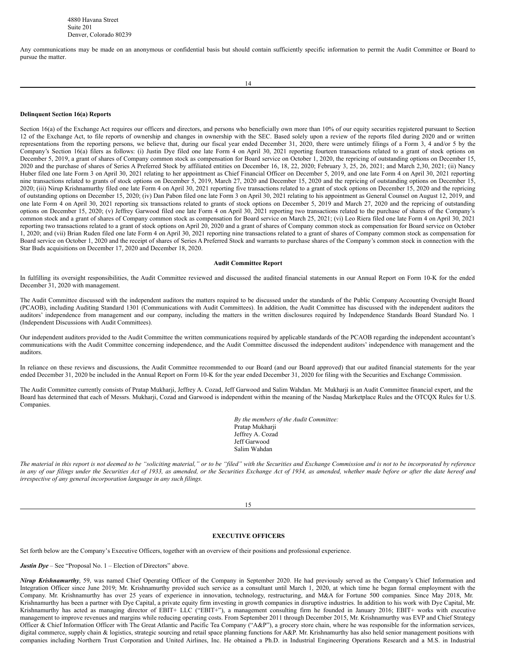Any communications may be made on an anonymous or confidential basis but should contain sufficiently specific information to permit the Audit Committee or Board to pursue the matter.

### **Delinquent Section 16(a) Reports**

Section 16(a) of the Exchange Act requires our officers and directors, and persons who beneficially own more than 10% of our equity securities registered pursuant to Section 12 of the Exchange Act, to file reports of ownership and changes in ownership with the SEC. Based solely upon a review of the reports filed during 2020 and or written representations from the reporting persons, we believe that, during our fiscal year ended December 31, 2020, there were untimely filings of a Form 3, 4 and/or 5 by the Company's Section 16(a) filers as follows: (i) Justin Dye filed one late Form 4 on April 30, 2021 reporting fourteen transactions related to a grant of stock options on December 5, 2019, a grant of shares of Company common stock as compensation for Board service on October 1, 2020, the repricing of outstanding options on December 15, 2020 and the purchase of shares of Series A Preferred Stock by affiliated entities on December 16, 18, 22, 2020; February 3, 25, 26, 2021; and March 2,30, 2021; (ii) Nancy Huber filed one late Form 3 on April 30, 2021 relating to her appointment as Chief Financial Officer on December 5, 2019, and one late Form 4 on April 30, 2021 reporting nine transactions related to grants of stock options on December 5, 2019, March 27, 2020 and December 15, 2020 and the repricing of outstanding options on December 15, 2020; (iii) Nirup Krishnamurthy filed one late Form 4 on April 30, 2021 reporting five transactions related to a grant of stock options on December 15, 2020 and the repricing of outstanding options on December 15, 2020; (iv) Dan Pabon filed one late Form 3 on April 30, 2021 relating to his appointment as General Counsel on August 12, 2019, and one late Form 4 on April 30, 2021 reporting six transactions related to grants of stock options on December 5, 2019 and March 27, 2020 and the repricing of outstanding options on December 15, 2020; (v) Jeffrey Garwood filed one late Form 4 on April 30, 2021 reporting two transactions related to the purchase of shares of the Company's common stock and a grant of shares of Company common stock as compensation for Board service on March 25, 2021; (vi) Leo Riera filed one late Form 4 on April 30, 2021 reporting two transactions related to a grant of stock options on April 20, 2020 and a grant of shares of Company common stock as compensation for Board service on October 1, 2020; and (vii) Brian Ruden filed one late Form 4 on April 30, 2021 reporting nine transactions related to a grant of shares of Company common stock as compensation for Board service on October 1, 2020 and the receipt of shares of Series A Preferred Stock and warrants to purchase shares of the Company's common stock in connection with the Star Buds acquisitions on December 17, 2020 and December 18, 2020.

#### **Audit Committee Report**

In fulfilling its oversight responsibilities, the Audit Committee reviewed and discussed the audited financial statements in our Annual Report on Form 10-K for the ended December 31, 2020 with management.

The Audit Committee discussed with the independent auditors the matters required to be discussed under the standards of the Public Company Accounting Oversight Board (PCAOB), including Auditing Standard 1301 (Communications with Audit Committees). In addition, the Audit Committee has discussed with the independent auditors the auditors' independence from management and our company, including the matters in the written disclosures required by Independence Standards Board Standard No. 1 (Independent Discussions with Audit Committees).

Our independent auditors provided to the Audit Committee the written communications required by applicable standards of the PCAOB regarding the independent accountant's communications with the Audit Committee concerning independence, and the Audit Committee discussed the independent auditors' independence with management and the auditors.

In reliance on these reviews and discussions, the Audit Committee recommended to our Board (and our Board approved) that our audited financial statements for the year ended December 31, 2020 be included in the Annual Report on Form 10-K for the year ended December 31, 2020 for filing with the Securities and Exchange Commission.

The Audit Committee currently consists of Pratap Mukharji, Jeffrey A. Cozad, Jeff Garwood and Salim Wahdan. Mr. Mukharji is an Audit Committee financial expert, and the Board has determined that each of Messrs. Mukharji, Cozad and Garwood is independent within the meaning of the Nasdaq Marketplace Rules and the OTCQX Rules for U.S. Companies.

> *By the members of the Audit Committee:* Pratap Mukharji Jeffrey A. Cozad Jeff Garwood Salim Wahdan

The material in this report is not deemed to be "soliciting material," or to be "filed" with the Securities and Exchange Commission and is not to be incorporated by reference in any of our filings under the Securities Act of 1933, as amended, or the Securities Exchange Act of 1934, as amended, whether made before or after the date hereof and *irrespective of any general incorporation language in any such filings.*

15

#### <span id="page-10-0"></span>**EXECUTIVE OFFICERS**

Set forth below are the Company's Executive Officers, together with an overview of their positions and professional experience.

*Justin Dye* – See "Proposal No. 1 – Election of Directors" above.

*Nirup Krishnamurthy*, 59, was named Chief Operating Officer of the Company in September 2020. He had previously served as the Company's Chief Information and Integration Officer since June 2019; Mr. Krishnamurthy provided such service as a consultant until March 1, 2020, at which time he began formal employment with the Company. Mr. Krishnamurthy has over 25 years of experience in innovation, technology, restructuring, and M&A for Fortune 500 companies. Since May 2018, Mr. Krishnamurthy has been a partner with Dye Capital, a private equity firm investing in growth companies in disruptive industries. In addition to his work with Dye Capital, Mr. Krishnamurthy has acted as managing director of EBIT+ LLC ("EBIT+"), a management consulting firm he founded in January 2016; EBIT+ works with executive management to improve revenues and margins while reducing operating costs. From September 2011 through December 2015, Mr. Krishnamurthy was EVP and Chief Strategy Officer & Chief Information Officer with The Great Atlantic and Pacific Tea Company ("A&P"), a grocery store chain, where he was responsible for the information services, digital commerce, supply chain & logistics, strategic sourcing and retail space planning functions for A&P. Mr. Krishnamurthy has also held senior management positions with companies including Northern Trust Corporation and United Airlines, Inc. He obtained a Ph.D. in Industrial Engineering Operations Research and a M.S. in Industrial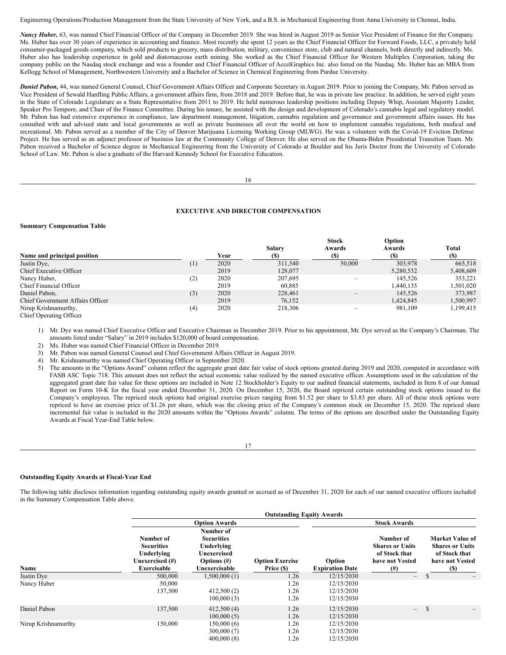Engineering Operations/Production Management from the State University of New York, and a B.S. in Mechanical Engineering from Anna University in Chennai, India.

*Nancy Huber,* 63, was named Chief Financial Officer of the Company in December 2019. She was hired in August 2019 as Senior Vice President of Finance for the Company. Ms. Huber has over 30 years of experience in accounting and finance. Most recently she spent 12 years as the Chief Financial Officer for Forward Foods, LLC, a privately held consumer-packaged goods company, which sold products to grocery, mass distribution, military, convenience store, club and natural channels, both directly and indirectly. Ms. Huber also has leadership experience in gold and diatomaceous earth mining. She worked as the Chief Financial Officer for Western Multiplex Corporation, taking the company public on the Nasdaq stock exchange and was a founder and Chief Financial Officer of AccelGraphics Inc. also listed on the Nasdaq. Ms. Huber has an MBA from Kellogg School of Management, Northwestern University and a Bachelor of Science in Chemical Engineering from Purdue University.

*Daniel Pabon,* 44, was named General Counsel, Chief Government Affairs Officer and Corporate Secretary in August 2019. Prior to joining the Company, Mr. Pabon served as Vice President of Sewald Hanfling Public Affairs, a government affairs firm, from 2018 and 2019. Before that, he was in private law practice. In addition, he served eight years in the State of Colorado Legislature as a State Representative from 2011 to 2019. He held numerous leadership positions including Deputy Whip, Assistant Majority Leader, Speaker Pro Tempore, and Chair of the Finance Committee. During his tenure, he assisted with the design and development of Colorado's cannabis legal and regulatory model. Mr. Pabon has had extensive experience in compliance, law department management, litigation, cannabis regulation and governance and government affairs issues. He has consulted with and advised state and local governments as well as private businesses all over the world on how to implement cannabis regulations, both medical and recreational. Mr. Pabon served as a member of the City of Denver Marijuana Licensing Working Group (MLWG). He was a volunteer with the Covid-19 Eviction Defense Project. He has served as an adjunct professor of business law at the Community College of Denver. He also served on the Obama-Biden Presidential Transition Team. Mr. Pabon received a Bachelor of Science degree in Mechanical Engineering from the University of Colorado at Boulder and his Juris Doctor from the University of Colorado School of Law. Mr. Pabon is also a graduate of the Harvard Kennedy School for Executive Education.

```
16
```
### <span id="page-11-0"></span>**EXECUTIVE AND DIRECTOR COMPENSATION**

#### **Summary Compensation Table**

|                                  |          |      | Salary  | <b>Stock</b><br>Awards | Option<br>Awards | <b>Total</b> |
|----------------------------------|----------|------|---------|------------------------|------------------|--------------|
| Name and principal position      |          | Year | (S)     | (S)                    | (S)              | (S)          |
| Justin Dye,                      | $^{(1)}$ | 2020 | 311,540 | 50,000                 | 303,978          | 665,518      |
| Chief Executive Officer          |          | 2019 | 128,077 |                        | 5,280,532        | 5,408,609    |
| Nancy Huber,                     | (2)      | 2020 | 207,695 |                        | 145.526          | 353.221      |
| Chief Financial Officer          |          | 2019 | 60.885  |                        | 1,440,135        | 1,501,020    |
| Daniel Pabon,                    | (3)      | 2020 | 228,461 |                        | 145.526          | 373,987      |
| Chief Government Affairs Officer |          | 2019 | 76.152  |                        | 1,424,845        | 1,500,997    |
| Nirup Krishnamurthy,             | (4)      | 2020 | 218,306 |                        | 981,109          | 1,199,415    |
| Chief Operating Officer          |          |      |         |                        |                  |              |

1) Mr. Dye was named Chief Executive Officer and Executive Chairman in December 2019. Prior to his appointment, Mr. Dye served as the Company's Chairman. The amounts listed under "Salary" in 2019 includes \$120,000 of board compensation.

2) Ms. Huber was named Chief Financial Officer in December 2019.

3) Mr. Pabon was named General Counsel and Chief Government Affairs Officer in August 2019.

4) Mr. Krishnamurthy was named Chief Operating Officer in September 2020.

5) The amounts in the "Options Award" column reflect the aggregate grant date fair value of stock options granted during 2019 and 2020, computed in accordance with FASB ASC Topic 718. This amount does not reflect the actual economic value realized by the named executive officer. Assumptions used in the calculation of the aggregated grant date fair value for these options are included in Note 12 Stockholder's Equity to our audited financial statements, included in Item 8 of our Annual Report on Form 10-K for the fiscal year ended December 31, 2020. On December 15, 2020, the Board repriced certain outstanding stock options issued to the Company's employees. The repriced stock options had original exercise prices ranging from \$1.52 per share to \$3.83 per share. All of these stock options were repriced to have an exercise price of \$1.26 per share, which was the closing price of the Company's common stock on December 15, 2020. The repriced share incremental fair value is included in the 2020 amounts within the "Options Awards" column. The terms of the options are described under the Outstanding Equity Awards at Fiscal Year-End Table below.

17

### **Outstanding Equity Awards at Fiscal-Year End**

The following table discloses information regarding outstanding equity awards granted or accrued as of December 31, 2020 for each of our named executive officers included in the Summary Compensation Table above.

|                     |                                                                                       | <b>Outstanding Equity Awards</b>                                                               |                                      |                                        |                                                                                     |                                                                                                     |  |  |  |  |  |
|---------------------|---------------------------------------------------------------------------------------|------------------------------------------------------------------------------------------------|--------------------------------------|----------------------------------------|-------------------------------------------------------------------------------------|-----------------------------------------------------------------------------------------------------|--|--|--|--|--|
|                     |                                                                                       | <b>Option Awards</b>                                                                           |                                      | <b>Stock Awards</b>                    |                                                                                     |                                                                                                     |  |  |  |  |  |
| Name                | Number of<br><b>Securities</b><br>Underlying<br>Unexercised (#)<br><b>Exercisable</b> | Number of<br><b>Securities</b><br>Underlying<br>Unexercised<br>Options $(\#)$<br>Unexercisable | <b>Option Exercise</b><br>Price (\$) | Option<br><b>Expiration Date</b>       | Number of<br><b>Shares or Units</b><br>of Stock that<br>have not Vested<br>$^{(#)}$ | <b>Market Value of</b><br><b>Shares or Units</b><br>of Stock that<br>have not Vested<br><b>(\$)</b> |  |  |  |  |  |
| Justin Dye          | 500,000                                                                               | 1,500,000(1)                                                                                   | 1.26                                 | 12/15/2030                             | $\qquad \qquad -$                                                                   | <b>S</b>                                                                                            |  |  |  |  |  |
| Nancy Huber         | 50,000<br>137,500                                                                     | 412,500(2)<br>100,000(3)                                                                       | 1.26<br>1.26<br>1.26                 | 12/15/2030<br>12/15/2030<br>12/15/2030 |                                                                                     |                                                                                                     |  |  |  |  |  |
| Daniel Pabon        | 137,500                                                                               | 412,500(4)<br>100,000(5)                                                                       | 1.26<br>1.26                         | 12/15/2030<br>12/15/2030               | $-$                                                                                 | <sup>\$</sup>                                                                                       |  |  |  |  |  |
| Nirup Krishnamurthy | 150,000                                                                               | 150,000(6)<br>300,000(7)<br>400,000(8)                                                         | 1.26<br>1.26<br>1.26                 | 12/15/2030<br>12/15/2030<br>12/15/2030 |                                                                                     |                                                                                                     |  |  |  |  |  |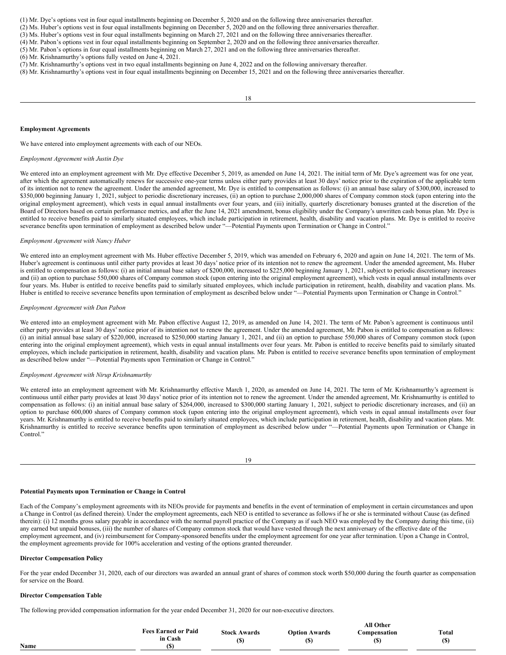(1) Mr. Dye's options vest in four equal installments beginning on December 5, 2020 and on the following three anniversaries thereafter.

(2) Ms. Huber's options vest in four equal installments beginning on December 5, 2020 and on the following three anniversaries thereafter.

(3) Ms. Huber's options vest in four equal installments beginning on March 27, 2021 and on the following three anniversaries thereafter.

(4) Mr. Pabon's options vest in four equal installments beginning on September 2, 2020 and on the following three anniversaries thereafter.

(5) Mr. Pabon's options in four equal installments beginning on March 27, 2021 and on the following three anniversaries thereafter. (6) Mr. Krishnamurthy's options fully vested on June 4, 2021.

(7) Mr. Krishnamurthy's options vest in two equal installments beginning on June 4, 2022 and on the following anniversary thereafter.

(8) Mr. Krishnamurthy's options vest in four equal installments beginning on December 15, 2021 and on the following three anniversaries thereafter.

#### **Employment Agreements**

We have entered into employment agreements with each of our NEOs.

#### *Employment Agreement with Justin Dye*

We entered into an employment agreement with Mr. Dye effective December 5, 2019, as amended on June 14, 2021. The initial term of Mr. Dye's agreement was for one year, after which the agreement automatically renews for successive one-year terms unless either party provides at least 30 days' notice prior to the expiration of the applicable term of its intention not to renew the agreement. Under the amended agreement, Mr. Dye is entitled to compensation as follows: (i) an annual base salary of \$300,000, increased to \$350,000 beginning January 1, 2021, subject to periodic discretionary increases, (ii) an option to purchase 2,000,000 shares of Company common stock (upon entering into the original employment agreement), which vests in equal annual installments over four years, and (iii) initially, quarterly discretionary bonuses granted at the discretion of the Board of Directors based on certain performance metrics, and after the June 14, 2021 amendment, bonus eligibility under the Company's unwritten cash bonus plan. Mr. Dye is entitled to receive benefits paid to similarly situated employees, which include participation in retirement, health, disability and vacation plans. Mr. Dye is entitled to receive severance benefits upon termination of employment as described below under "—Potential Payments upon Termination or Change in Control."

### *Employment Agreement with Nancy Huber*

We entered into an employment agreement with Ms. Huber effective December 5, 2019, which was amended on February 6, 2020 and again on June 14, 2021. The term of Ms. Huber's agreement is continuous until either party provides at least 30 days' notice prior of its intention not to renew the agreement. Under the amended agreement, Ms. Huber is entitled to compensation as follows: (i) an initial annual base salary of \$200,000, increased to \$225,000 beginning January 1, 2021, subject to periodic discretionary increases and (ii) an option to purchase 550,000 shares of Company common stock (upon entering into the original employment agreement), which vests in equal annual installments over four years. Ms. Huber is entitled to receive benefits paid to similarly situated employees, which include participation in retirement, health, disability and vacation plans. Ms. Huber is entitled to receive severance benefits upon termination of employment as described below under "—Potential Payments upon Termination or Change in Control."

### *Employment Agreement with Dan Pabon*

We entered into an employment agreement with Mr. Pabon effective August 12, 2019, as amended on June 14, 2021. The term of Mr. Pabon's agreement is continuous until either party provides at least 30 days' notice prior of its intention not to renew the agreement. Under the amended agreement, Mr. Pabon is entitled to compensation as follows: (i) an initial annual base salary of \$220,000, increased to \$250,000 starting January 1, 2021, and (ii) an option to purchase 550,000 shares of Company common stock (upon entering into the original employment agreement), which vests in equal annual installments over four years. Mr. Pabon is entitled to receive benefits paid to similarly situated employees, which include participation in retirement, health, disability and vacation plans. Mr. Pabon is entitled to receive severance benefits upon termination of employment as described below under "—Potential Payments upon Termination or Change in Control."

#### *Employment Agreement with Nirup Krishnamurthy*

We entered into an employment agreement with Mr. Krishnamurthy effective March 1, 2020, as amended on June 14, 2021. The term of Mr. Krishnamurthy's agreement is continuous until either party provides at least 30 days' notice prior of its intention not to renew the agreement. Under the amended agreement, Mr. Krishnamurthy is entitled to compensation as follows: (i) an initial annual base salary of \$264,000, increased to \$300,000 starting January 1, 2021, subject to periodic discretionary increases, and (ii) an option to purchase 600,000 shares of Company common stock (upon entering into the original employment agreement), which vests in equal annual installments over four years. Mr. Krishnamurthy is entitled to receive benefits paid to similarly situated employees, which include participation in retirement, health, disability and vacation plans. Mr. Krishnamurthy is entitled to receive severance benefits upon termination of employment as described below under "—Potential Payments upon Termination or Change in Control."

19

### **Potential Payments upon Termination or Change in Control**

Each of the Company's employment agreements with its NEOs provide for payments and benefits in the event of termination of employment in certain circumstances and upon a Change in Control (as defined therein). Under the employment agreements, each NEO is entitled to severance as follows if he or she is terminated without Cause (as defined therein): (i) 12 months gross salary payable in accordance with the normal payroll practice of the Company as if such NEO was employed by the Company during this time, (ii) any earned but unpaid bonuses, (iii) the number of shares of Company common stock that would have vested through the next anniversary of the effective date of the employment agreement, and (iv) reimbursement for Company-sponsored benefits under the employment agreement for one year after termination. Upon a Change in Control, the employment agreements provide for 100% acceleration and vesting of the options granted thereunder.

### **Director Compensation Policy**

For the year ended December 31, 2020, each of our directors was awarded an annual grant of shares of common stock worth \$50,000 during the fourth quarter as compensation for service on the Board.

### **Director Compensation Table**

The following provided compensation information for the year ended December 31, 2020 for our non-executive directors.

|      |                                       |                           |                                                      | <b>All Other</b>          |       |
|------|---------------------------------------|---------------------------|------------------------------------------------------|---------------------------|-------|
|      | <b>Fees Earned or Paid</b><br>in Cash | <b>Stock Awards</b><br>(S | <b>Option Awards</b><br>$\left( \mathbf{\$} \right)$ | <b>Compensation</b><br>ιυ | Total |
| Name |                                       |                           |                                                      |                           |       |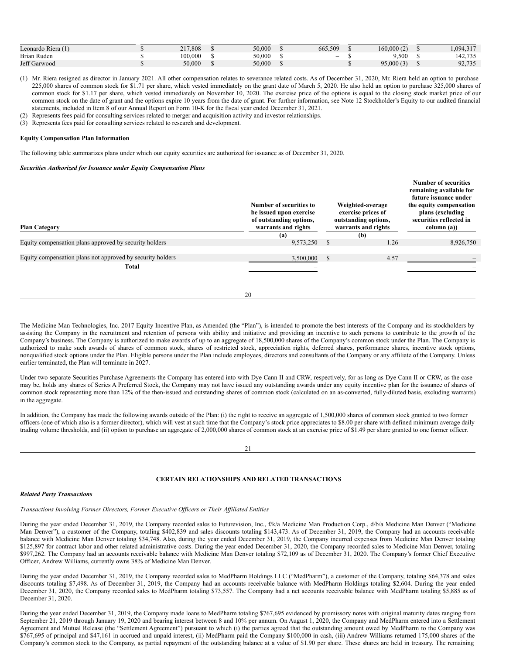| $\ell$ 1<br>Leonardo Riera (1 | 217,808 | 50,000 | 665,509 | 60.000 | 1,094,317<br>2.17 |
|-------------------------------|---------|--------|---------|--------|-------------------|
| Brian Ruden                   | 100.000 | 50.000 | $\sim$  | ,500   | 142.735           |
| Jeff Garwood                  | 50.000  | 50,000 | $\sim$  | 95,000 | 92,735            |

(1) Mr. Riera resigned as director in January 2021. All other compensation relates to severance related costs. As of December 31, 2020, Mr. Riera held an option to purchase 225,000 shares of common stock for \$1.71 per share, which vested immediately on the grant date of March 5, 2020. He also held an option to purchase 325,000 shares of common stock for \$1.17 per share, which vested immediately on November 10, 2020. The exercise price of the options is equal to the closing stock market price of our common stock on the date of grant and the options expire 10 years from the date of grant. For further information, see Note 12 Stockholder's Equity to our audited financial statements, included in Item 8 of our Annual Report on Form 10-K for the fiscal year ended December 31, 2021.

(2) Represents fees paid for consulting services related to merger and acquisition activity and investor relationships.

(3) Represents fees paid for consulting services related to research and development.

### **Equity Compensation Plan Information**

The following table summarizes plans under which our equity securities are authorized for issuance as of December 31, 2020.

#### *Securities Authorized for Issuance under Equity Compensation Plans*

| <b>Plan Category</b>                                       | Number of securities to<br>be issued upon exercise<br>of outstanding options,<br>warrants and rights | Weighted-average<br>exercise prices of<br>outstanding options,<br>warrants and rights |      | <b>Number of securities</b><br>remaining available for<br>future issuance under<br>the equity compensation<br>plans (excluding<br>securities reflected in<br>column (a)) |  |
|------------------------------------------------------------|------------------------------------------------------------------------------------------------------|---------------------------------------------------------------------------------------|------|--------------------------------------------------------------------------------------------------------------------------------------------------------------------------|--|
|                                                            | (a)                                                                                                  |                                                                                       | (b)  |                                                                                                                                                                          |  |
| Equity compensation plans approved by security holders     | 9,573,250                                                                                            | <sup>\$</sup>                                                                         | 1.26 | 8,926,750                                                                                                                                                                |  |
| Equity compensation plans not approved by security holders | 3,500,000                                                                                            | <sup>\$</sup>                                                                         | 4.57 |                                                                                                                                                                          |  |
| <b>Total</b>                                               |                                                                                                      |                                                                                       |      |                                                                                                                                                                          |  |
|                                                            |                                                                                                      |                                                                                       |      |                                                                                                                                                                          |  |

20

The Medicine Man Technologies, Inc. 2017 Equity Incentive Plan, as Amended (the "Plan"), is intended to promote the best interests of the Company and its stockholders by assisting the Company in the recruitment and retention of persons with ability and initiative and providing an incentive to such persons to contribute to the growth of the Company's business. The Company is authorized to make awards of up to an aggregate of 18,500,000 shares of the Company's common stock under the Plan. The Company is authorized to make such awards of shares of common stock, shares of restricted stock, appreciation rights, deferred shares, performance shares, incentive stock options, nonqualified stock options under the Plan. Eligible persons under the Plan include employees, directors and consultants of the Company or any affiliate of the Company. Unless earlier terminated, the Plan will terminate in 2027.

Under two separate Securities Purchase Agreements the Company has entered into with Dye Cann II and CRW, respectively, for as long as Dye Cann II or CRW, as the case may be, holds any shares of Series A Preferred Stock, the Company may not have issued any outstanding awards under any equity incentive plan for the issuance of shares of common stock representing more than 12% of the then-issued and outstanding shares of common stock (calculated on an as-converted, fully-diluted basis, excluding warrants) in the aggregate.

In addition, the Company has made the following awards outside of the Plan: (i) the right to receive an aggregate of 1,500,000 shares of common stock granted to two former officers (one of which also is a former director), which will vest at such time that the Company's stock price appreciates to \$8.00 per share with defined minimum average daily trading volume thresholds, and (ii) option to purchase an aggregate of 2,000,000 shares of common stock at an exercise price of \$1.49 per share granted to one former officer.

21

### <span id="page-13-0"></span>**CERTAIN RELATIONSHIPS AND RELATED TRANSACTIONS**

#### *Related Party Transactions*

*Transactions Involving Former Directors, Former Executive Of icers or Their Af iliated Entities*

During the year ended December 31, 2019, the Company recorded sales to Futurevision, Inc., f/k/a Medicine Man Production Corp., d/b/a Medicine Man Denver ("Medicine Man Denver"), a customer of the Company, totaling \$402,839 and sales discounts totaling \$143,473. As of December 31, 2019, the Company had an accounts receivable balance with Medicine Man Denver totaling \$34,748. Also, during the year ended December 31, 2019, the Company incurred expenses from Medicine Man Denver totaling \$125,897 for contract labor and other related administrative costs. During the year ended December 31, 2020, the Company recorded sales to Medicine Man Denver, totaling \$997,262. The Company had an accounts receivable balance with Medicine Man Denver totaling \$72,109 as of December 31, 2020. The Company's former Chief Executive Officer, Andrew Williams, currently owns 38% of Medicine Man Denver.

During the year ended December 31, 2019, the Company recorded sales to MedPharm Holdings LLC ("MedPharm"), a customer of the Company, totaling \$64,378 and sales discounts totaling \$7,498. As of December 31, 2019, the Company had an accounts receivable balance with MedPharm Holdings totaling \$2,604. During the year ended December 31, 2020, the Company recorded sales to MedPharm totaling \$73,557. The Company had a net accounts receivable balance with MedPharm totaling \$5,885 as of December 31, 2020.

During the year ended December 31, 2019, the Company made loans to MedPharm totaling \$767,695 evidenced by promissory notes with original maturity dates ranging from September 21, 2019 through January 19, 2020 and bearing interest between 8 and 10% per annum. On August 1, 2020, the Company and MedPharm entered into a Settlement Agreement and Mutual Release (the "Settlement Agreement") pursuant to which (i) the parties agreed that the outstanding amount owed by MedPharm to the Company was \$767,695 of principal and \$47,161 in accrued and unpaid interest, (ii) MedPharm paid the Company \$100,000 in cash, (iii) Andrew Williams returned 175,000 shares of the Company's common stock to the Company, as partial repayment of the outstanding balance at a value of \$1.90 per share. These shares are held in treasury. The remaining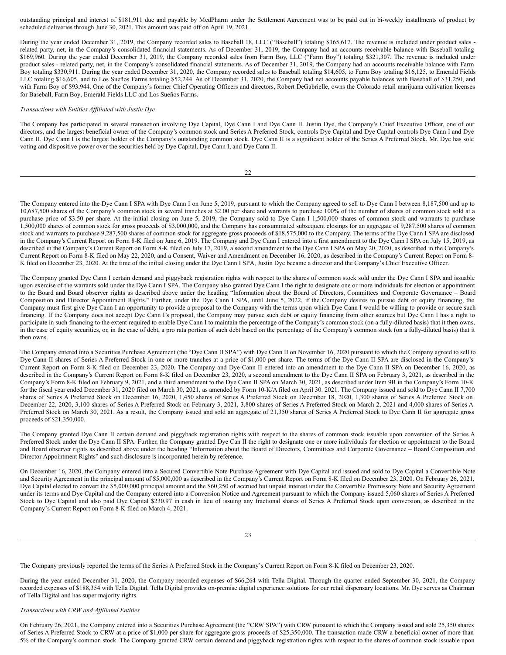outstanding principal and interest of \$181,911 due and payable by MedPharm under the Settlement Agreement was to be paid out in bi-weekly installments of product by scheduled deliveries through June 30, 2021. This amount was paid off on April 19, 2021.

During the year ended December 31, 2019, the Company recorded sales to Baseball 18, LLC ("Baseball") totaling \$165,617. The revenue is included under product sales related party, net, in the Company's consolidated financial statements. As of December 31, 2019, the Company had an accounts receivable balance with Baseball totaling \$169,960. During the year ended December 31, 2019, the Company recorded sales from Farm Boy, LLC ("Farm Boy") totaling \$321,307. The revenue is included under product sales - related party, net, in the Company's consolidated financial statements. As of December 31, 2019, the Company had an accounts receivable balance with Farm Boy totaling \$330,911. During the year ended December 31, 2020, the Company recorded sales to Baseball totaling \$14,605, to Farm Boy totaling \$16,125, to Emerald Fields LLC totaling \$16,605, and to Los Sueños Farms totaling \$52,244. As of December 31, 2020, the Company had net accounts payable balances with Baseball of \$31,250, and with Farm Boy of \$93,944. One of the Company's former Chief Operating Officers and directors, Robert DeGabrielle, owns the Colorado retail marijuana cultivation licenses for Baseball, Farm Boy, Emerald Fields LLC and Los Sueños Farms.

### *Transactions with Entities Af iliated with Justin Dye*

The Company has participated in several transaction involving Dye Capital, Dye Cann I and Dye Cann II. Justin Dye, the Company's Chief Executive Officer, one of our directors, and the largest beneficial owner of the Company's common stock and Series A Preferred Stock, controls Dye Capital and Dye Capital controls Dye Cann I and Dye Cann II. Dye Cann I is the largest holder of the Company's outstanding common stock. Dye Cann II is a significant holder of the Series A Preferred Stock. Mr. Dye has sole voting and dispositive power over the securities held by Dye Capital, Dye Cann I, and Dye Cann II.

|  | ٦ |  |
|--|---|--|

The Company entered into the Dye Cann I SPA with Dye Cann I on June 5, 2019, pursuant to which the Company agreed to sell to Dye Cann I between 8,187,500 and up to 10,687,500 shares of the Company's common stock in several tranches at \$2.00 per share and warrants to purchase 100% of the number of shares of common stock sold at a purchase price of \$3.50 per share. At the initial closing on June 5, 2019, the Company sold to Dye Cann I 1,500,000 shares of common stock and warrants to purchase 1,500,000 shares of common stock for gross proceeds of \$3,000,000, and the Company has consummated subsequent closings for an aggregate of 9,287,500 shares of common stock and warrants to purchase 9,287,500 shares of common stock for aggregate gross proceeds of \$18,575,000 to the Company. The terms of the Dye Cann I SPA are disclosed in the Company's Current Report on Form 8-K filed on June 6, 2019. The Company and Dye Cann I entered into a first amendment to the Dye Cann I SPA on July 15, 2019, as described in the Company's Current Report on Form 8-K filed on July 17, 2019, a second amendment to the Dye Cann I SPA on May 20, 2020, as described in the Company's Current Report on Form 8-K filed on May 22, 2020, and a Consent, Waiver and Amendment on December 16, 2020, as described in the Company's Current Report on Form 8- K filed on December 23, 2020. At the time of the initial closing under the Dye Cann I SPA, Justin Dye became a director and the Company's Chief Executive Officer.

The Company granted Dye Cann I certain demand and piggyback registration rights with respect to the shares of common stock sold under the Dye Cann I SPA and issuable upon exercise of the warrants sold under the Dye Cann I SPA. The Company also granted Dye Cann I the right to designate one or more individuals for election or appointment to the Board and Board observer rights as described above under the heading "Information about the Board of Directors, Committees and Corporate Governance – Board Composition and Director Appointment Rights." Further, under the Dye Cann I SPA, until June 5, 2022, if the Company desires to pursue debt or equity financing, the Company must first give Dye Cann I an opportunity to provide a proposal to the Company with the terms upon which Dye Cann I would be willing to provide or secure such financing. If the Company does not accept Dye Cann I's proposal, the Company may pursue such debt or equity financing from other sources but Dye Cann I has a right to participate in such financing to the extent required to enable Dye Cann I to maintain the percentage of the Company's common stock (on a fully-diluted basis) that it then owns, in the case of equity securities, or, in the case of debt, a pro rata portion of such debt based on the percentage of the Company's common stock (on a fully-diluted basis) that it then owns.

The Company entered into a Securities Purchase Agreement (the "Dye Cann II SPA") with Dye Cann II on November 16, 2020 pursuant to which the Company agreed to sell to Dye Cann II shares of Series A Preferred Stock in one or more tranches at a price of \$1,000 per share. The terms of the Dye Cann II SPA are disclosed in the Company's Current Report on Form 8-K filed on December 23, 2020. The Company and Dye Cann II entered into an amendment to the Dye Cann II SPA on December 16, 2020, as described in the Company's Current Report on Form 8-K filed on December 23, 2020, a second amendment to the Dye Cann II SPA on February 3, 2021, as described in the Company's Form 8-K filed on February 9, 2021, and a third amendment to the Dye Cann II SPA on March 30, 2021, as described under Item 9B in the Company's Form 10-K for the fiscal year ended December 31, 2020 filed on March 30, 2021, as amended by Form 10-K/A filed on April 30. 2021. The Company issued and sold to Dye Cann II 7,700 shares of Series A Preferred Stock on December 16, 2020, 1,450 shares of Series A Preferred Stock on December 18, 2020, 1,300 shares of Series A Preferred Stock on December 22, 2020, 3,100 shares of Series A Preferred Stock on February 3, 2021, 3,800 shares of Series A Preferred Stock on March 2, 2021 and 4,000 shares of Series A Preferred Stock on March 30, 2021. As a result, the Company issued and sold an aggregate of 21,350 shares of Series A Preferred Stock to Dye Cann II for aggregate gross proceeds of \$21,350,000.

The Company granted Dye Cann II certain demand and piggyback registration rights with respect to the shares of common stock issuable upon conversion of the Series A Preferred Stock under the Dye Cann II SPA. Further, the Company granted Dye Can II the right to designate one or more individuals for election or appointment to the Board and Board observer rights as described above under the heading "Information about the Board of Directors, Committees and Corporate Governance – Board Composition and Director Appointment Rights" and such disclosure is incorporated herein by reference.

On December 16, 2020, the Company entered into a Secured Convertible Note Purchase Agreement with Dye Capital and issued and sold to Dye Capital a Convertible Note and Security Agreement in the principal amount of \$5,000,000 as described in the Company's Current Report on Form 8-K filed on December 23, 2020. On February 26, 2021, Dye Capital elected to convert the \$5,000,000 principal amount and the \$60,250 of accrued but unpaid interest under the Convertible Promissory Note and Security Agreement under its terms and Dye Capital and the Company entered into a Conversion Notice and Agreement pursuant to which the Company issued 5,060 shares of Series A Preferred Stock to Dye Capital and also paid Dye Capital \$230.97 in cash in lieu of issuing any fractional shares of Series A Preferred Stock upon conversion, as described in the Company's Current Report on Form 8-K filed on March 4, 2021.

The Company previously reported the terms of the Series A Preferred Stock in the Company's Current Report on Form 8-K filed on December 23, 2020.

During the year ended December 31, 2020, the Company recorded expenses of \$66,264 with Tella Digital. Through the quarter ended September 30, 2021, the Company recorded expenses of \$188,354 with Tella Digital. Tella Digital provides on-premise digital experience solutions for our retail dispensary locations. Mr. Dye serves as Chairman of Tella Digital and has super majority rights.

### *Transactions with CRW and Af iliated Entities*

On February 26, 2021, the Company entered into a Securities Purchase Agreement (the "CRW SPA") with CRW pursuant to which the Company issued and sold 25,350 shares of Series A Preferred Stock to CRW at a price of \$1,000 per share for aggregate gross proceeds of \$25,350,000. The transaction made CRW a beneficial owner of more than 5% of the Company's common stock. The Company granted CRW certain demand and piggyback registration rights with respect to the shares of common stock issuable upon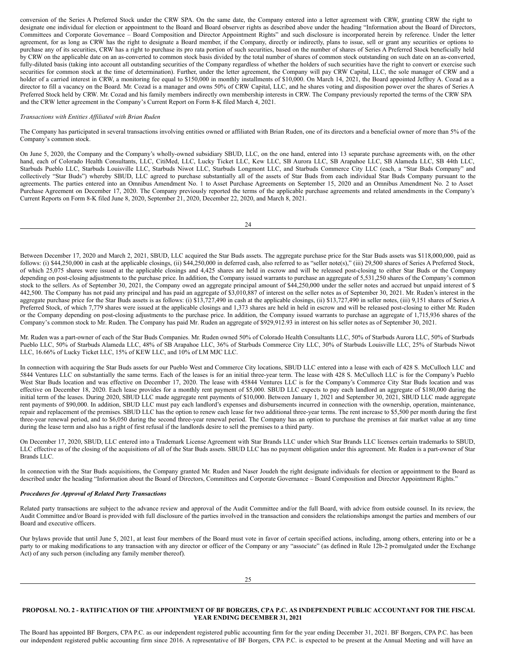conversion of the Series A Preferred Stock under the CRW SPA. On the same date, the Company entered into a letter agreement with CRW, granting CRW the right to designate one individual for election or appointment to the Board and Board observer rights as described above under the heading "Information about the Board of Directors, Committees and Corporate Governance – Board Composition and Director Appointment Rights" and such disclosure is incorporated herein by reference. Under the letter agreement, for as long as CRW has the right to designate a Board member, if the Company, directly or indirectly, plans to issue, sell or grant any securities or options to purchase any of its securities, CRW has a right to purchase its pro rata portion of such securities, based on the number of shares of Series A Preferred Stock beneficially held by CRW on the applicable date on an as-converted to common stock basis divided by the total number of shares of common stock outstanding on such date on an as-converted, fully-diluted basis (taking into account all outstanding securities of the Company regardless of whether the holders of such securities have the right to convert or exercise such securities for common stock at the time of determination). Further, under the letter agreement, the Company will pay CRW Capital, LLC, the sole manager of CRW and a holder of a carried interest in CRW, a monitoring fee equal to \$150,000 in monthly installments of \$10,000. On March 14, 2021, the Board appointed Jeffrey A. Cozad as a director to fill a vacancy on the Board. Mr. Cozad is a manager and owns 50% of CRW Capital, LLC, and he shares voting and disposition power over the shares of Series A Preferred Stock held by CRW. Mr. Cozad and his family members indirectly own membership interests in CRW. The Company previously reported the terms of the CRW SPA and the CRW letter agreement in the Company's Current Report on Form 8-K filed March 4, 2021.

### *Transactions with Entities Af iliated with Brian Ruden*

The Company has participated in several transactions involving entities owned or affiliated with Brian Ruden, one of its directors and a beneficial owner of more than 5% of the Company's common stock.

On June 5, 2020, the Company and the Company's wholly-owned subsidiary SBUD, LLC, on the one hand, entered into 13 separate purchase agreements with, on the other hand, each of Colorado Health Consultants, LLC, CitiMed, LLC, Lucky Ticket LLC, Kew LLC, SB Aurora LLC, SB Arapahoe LLC, SB Alameda LLC, SB 44th LLC, Starbuds Pueblo LLC, Starbuds Louisville LLC, Starbuds Niwot LLC, Starbuds Longmont LLC, and Starbuds Commerce City LLC (each, a "Star Buds Company" and collectively "Star Buds") whereby SBUD, LLC agreed to purchase substantially all of the assets of Star Buds from each individual Star Buds Company pursuant to the agreements. The parties entered into an Omnibus Amendment No. 1 to Asset Purchase Agreements on September 15, 2020 and an Omnibus Amendment No. 2 to Asset Purchase Agreement on December 17, 2020. The Company previously reported the terms of the applicable purchase agreements and related amendments in the Company's Current Reports on Form 8-K filed June 8, 2020, September 21, 2020, December 22, 2020, and March 8, 2021.

24

Between December 17, 2020 and March 2, 2021, SBUD, LLC acquired the Star Buds assets. The aggregate purchase price for the Star Buds assets was \$118,000,000, paid as follows: (i) \$44,250,000 in cash at the applicable closings, (ii) \$44,250,000 in deferred cash, also referred to as "seller note(s)," (iii) 29,500 shares of Series A Preferred Stock, of which 25,075 shares were issued at the applicable closings and 4,425 shares are held in escrow and will be released post-closing to either Star Buds or the Company depending on post-closing adjustments to the purchase price. In addition, the Company issued warrants to purchase an aggregate of 5,531,250 shares of the Company's common stock to the sellers. As of September 30, 2021, the Company owed an aggregate principal amount of \$44,250,000 under the seller notes and accrued but unpaid interest of \$ 442,500. The Company has not paid any principal and has paid an aggregate of \$3,010,887 of interest on the seller notes as of September 30, 2021. Mr. Ruden's interest in the aggregate purchase price for the Star Buds assets is as follows: (i) \$13,727,490 in cash at the applicable closings, (ii) \$13,727,490 in seller notes, (iii) 9,151 shares of Series A Preferred Stock, of which 7,779 shares were issued at the applicable closings and 1,373 shares are held in held in escrow and will be released post-closing to either Mr. Ruden or the Company depending on post-closing adjustments to the purchase price. In addition, the Company issued warrants to purchase an aggregate of 1,715,936 shares of the Company's common stock to Mr. Ruden. The Company has paid Mr. Ruden an aggregate of \$929,912.93 in interest on his seller notes as of September 30, 2021.

Mr. Ruden was a part-owner of each of the Star Buds Companies. Mr. Ruden owned 50% of Colorado Health Consultants LLC, 50% of Starbuds Aurora LLC, 50% of Starbuds Pueblo LLC, 50% of Starbuds Alameda LLC, 48% of SB Arapahoe LLC, 36% of Starbuds Commerce City LLC, 30% of Starbuds Louisville LLC, 25% of Starbuds Niwot LLC, 16.66% of Lucky Ticket LLC, 15% of KEW LLC, and 10% of LM MJC LLC.

In connection with acquiring the Star Buds assets for our Pueblo West and Commerce City locations, SBUD LLC entered into a lease with each of 428 S. McCulloch LLC and 5844 Ventures LLC on substantially the same terms. Each of the leases is for an initial three-year term. The lease with 428 S. McCulloch LLC is for the Company's Pueblo West Star Buds location and was effective on December 17, 2020. The lease with 45844 Ventures LLC is for the Company's Commerce City Star Buds location and was effective on December 18, 2020. Each lease provides for a monthly rent payment of \$5,000. SBUD LLC expects to pay each landlord an aggregate of \$180,000 during the initial term of the leases. During 2020, SBUD LLC made aggregate rent payments of \$10,000. Between January 1, 2021 and September 30, 2021, SBUD LLC made aggregate rent payments of \$90,000. In addition, SBUD LLC must pay each landlord's expenses and disbursements incurred in connection with the ownership, operation, maintenance, repair and replacement of the premises. SBUD LLC has the option to renew each lease for two additional three-year terms. The rent increase to \$5,500 per month during the first three-year renewal period, and to \$6,050 during the second three-year renewal period. The Company has an option to purchase the premises at fair market value at any time during the lease term and also has a right of first refusal if the landlords desire to sell the premises to a third party.

On December 17, 2020, SBUD, LLC entered into a Trademark License Agreement with Star Brands LLC under which Star Brands LLC licenses certain trademarks to SBUD, LLC effective as of the closing of the acquisitions of all of the Star Buds assets. SBUD LLC has no payment obligation under this agreement. Mr. Ruden is a part-owner of Star Brands LLC.

In connection with the Star Buds acquisitions, the Company granted Mr. Ruden and Naser Joudeh the right designate individuals for election or appointment to the Board as described under the heading "Information about the Board of Directors, Committees and Corporate Governance – Board Composition and Director Appointment Rights."

#### *Procedures for Approval of Related Party Transactions*

Related party transactions are subject to the advance review and approval of the Audit Committee and/or the full Board, with advice from outside counsel. In its review, the Audit Committee and/or Board is provided with full disclosure of the parties involved in the transaction and considers the relationships amongst the parties and members of our Board and executive officers.

Our bylaws provide that until June 5, 2021, at least four members of the Board must vote in favor of certain specified actions, including, among others, entering into or be a party to or making modifications to any transaction with any director or officer of the Company or any "associate" (as defined in Rule 12b-2 promulgated under the Exchange Act) of any such person (including any family member thereof).

### <span id="page-15-0"></span>PROPOSAL NO. 2 - RATIFICATION OF THE APPOINTMENT OF BF BORGERS, CPA P.C. AS INDEPENDENT PUBLIC ACCOUNTANT FOR THE FISCAL **YEAR ENDING DECEMBER 31, 2021**

The Board has appointed BF Borgers, CPA P.C. as our independent registered public accounting firm for the year ending December 31, 2021. BF Borgers, CPA P.C. has been our independent registered public accounting firm since 2016. A representative of BF Borgers, CPA P.C. is expected to be present at the Annual Meeting and will have an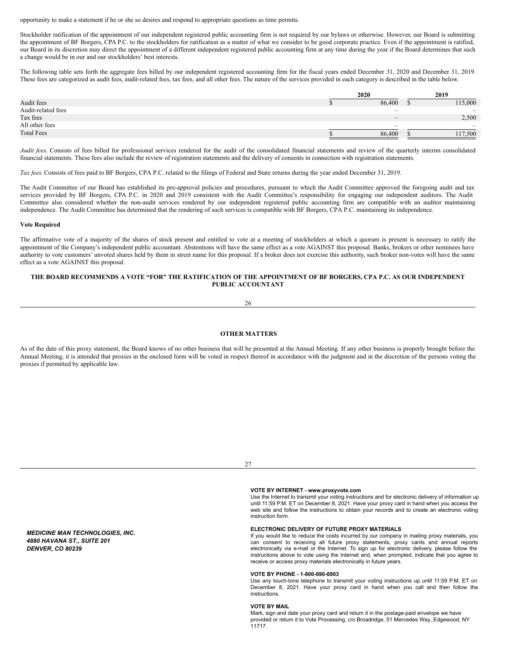opportunity to make a statement if he or she so desires and respond to appropriate questions as time permits.

Stockholder ratification of the appointment of our independent registered public accounting firm is not required by our bylaws or otherwise. However, our Board is submitting the appointment of BF Borgers, CPA P.C. to the stockholders for ratification as a matter of what we consider to be good corporate practice. Even if the appointment is ratified, our Board in its discretion may direct the appointment of a different independent registered public accounting firm at any time during the year if the Board determines that such a change would be in our and our stockholders' best interests.

The following table sets forth the aggregate fees billed by our independent registered accounting firm for the fiscal years ended December 31, 2020 and December 31, 2019. These fees are categorized as audit fees, audit-related fees, tax fees, and all other fees. The nature of the services provided in each category is described in the table below.

|                    | 2020 |                          |  | 2019                     |  |  |
|--------------------|------|--------------------------|--|--------------------------|--|--|
| Audit fees         |      | 86,400                   |  | 115,000                  |  |  |
| Audit-related fees |      | $\sim$                   |  | $\overline{\phantom{a}}$ |  |  |
| Tax fees           |      | $\overline{\phantom{a}}$ |  | 2,500                    |  |  |
| All other fees     |      | $\sim$                   |  | $\sim$                   |  |  |
| <b>Total Fees</b>  |      | 86,400                   |  | 117,500                  |  |  |

*Audit fees*. Consists of fees billed for professional services rendered for the audit of the consolidated financial statements and review of the quarterly interim consolidated financial statements. These fees also include the review of registration statements and the delivery of consents in connection with registration statements.

*Tax fees*. Consists of fees paid to BF Borgers, CPA P.C. related to the filings of Federal and State returns during the year ended December 31, 2019.

The Audit Committee of our Board has established its pre-approval policies and procedures, pursuant to which the Audit Committee approved the foregoing audit and tax services provided by BF Borgers, CPA P.C. in 2020 and 2019 consistent with the Audit Committee's responsibility for engaging our independent auditors. The Audit Committee also considered whether the non-audit services rendered by our independent registered public accounting firm are compatible with an auditor maintaining independence. The Audit Committee has determined that the rendering of such services is compatible with BF Borgers, CPA P.C. maintaining its independence.

#### **Vote Required**

The affirmative vote of a majority of the shares of stock present and entitled to vote at a meeting of stockholders at which a quorum is present is necessary to ratify the appointment of the Company's independent public accountant. Abstentions will have the same effect as a vote AGAINST this proposal. Banks, brokers or other nominees have authority to vote customers' unvoted shares held by them in street name for this proposal. If a broker does not exercise this authority, such broker non-votes will have the same effect as a vote AGAINST this proposal.

### THE BOARD RECOMMENDS A VOTE "FOR" THE RATIFICATION OF THE APPOINTMENT OF BF BORGERS, CPA P.C. AS OUR INDEPENDENT **PUBLIC ACCOUNTANT**

26

### <span id="page-16-0"></span>**OTHER MATTERS**

As of the date of this proxy statement, the Board knows of no other business that will be presented at the Annual Meeting. If any other business is properly brought before the Annual Meeting, it is intended that proxies in the enclosed form will be voted in respect thereof in accordance with the judgment and in the discretion of the persons voting the proxies if permitted by applicable law.

*MEDICINE MAN TECHNOLOGIES, INC. 4880 HAVANA ST., SUITE 201 DENVER, CO 80239*

#### $27$

#### **VOTE BY INTERNET - www.proxyvote.com**

Use the Internet to transmit your voting instructions and for electronic delivery of information up until 11:59 P.M. ET on December 8, 2021. Have your proxy card in hand when you access the web site and follow the instructions to obtain your records and to create an electronic voting instruction form.

### **ELECTRONIC DELIVERY OF FUTURE PROXY MATERIALS**

If you would like to reduce the costs incurred by our company in mailing proxy materials, you can consent to receiving all future proxy statements, proxy cards and annual reports electronically via e-mail or the Internet. To sign up for electronic delivery, please follow the instructions above to vote using the Internet and, when prompted, indicate that you agree to receive or access proxy materials electronically in future years.

#### **VOTE BY PHONE - 1-800-690-6903**

Use any touch-tone telephone to transmit your voting instructions up until 11:59 P.M. ET on December 8, 2021. Have your proxy card in hand when you call and then follow the instructions.

#### **VOTE BY MAIL**

Mark, sign and date your proxy card and return it in the postage-paid envelope we have provided or return it to Vote Processing, c/o Broadridge, 51 Mercedes Way, Edgewood, NY .<br>11717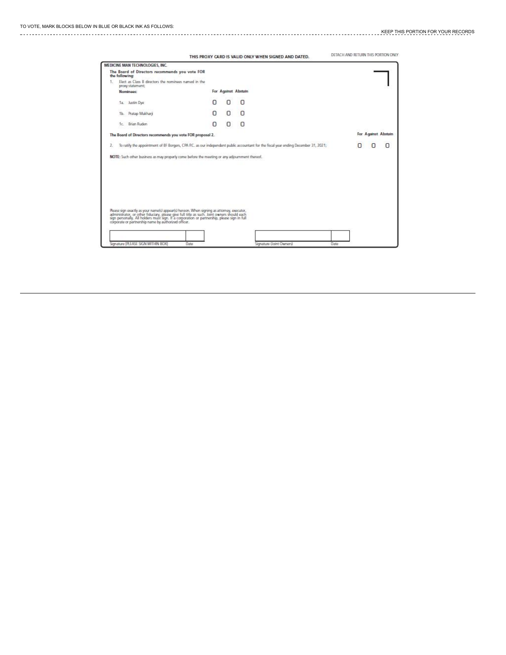|    |                                   |                                                                                                                                                                                                                                                                                              |      |                     |   | THIS PROXY CARD IS VALID ONLY WHEN SIGNED AND DATED.                                                                                 | DETACH AND RETURN THIS PORTION ONLY |   |                     |   |
|----|-----------------------------------|----------------------------------------------------------------------------------------------------------------------------------------------------------------------------------------------------------------------------------------------------------------------------------------------|------|---------------------|---|--------------------------------------------------------------------------------------------------------------------------------------|-------------------------------------|---|---------------------|---|
|    | MEDICINE MAN TECHNOLOGIES, INC.   |                                                                                                                                                                                                                                                                                              |      |                     |   |                                                                                                                                      |                                     |   |                     |   |
|    | the following:                    | The Board of Directors recommends you vote FOR                                                                                                                                                                                                                                               |      |                     |   |                                                                                                                                      |                                     |   |                     |   |
|    | proxy statement:                  | Elect as Class B directors the nominees named in the                                                                                                                                                                                                                                         |      |                     |   |                                                                                                                                      |                                     |   |                     |   |
|    | Nominees:                         |                                                                                                                                                                                                                                                                                              |      | For Against Abstain |   |                                                                                                                                      |                                     |   |                     |   |
|    | 1a. Justin Dye                    |                                                                                                                                                                                                                                                                                              | Ω    |                     | n |                                                                                                                                      |                                     |   |                     |   |
|    | 1b. Pratap Mukharji               |                                                                                                                                                                                                                                                                                              | 0    | п                   | Ω |                                                                                                                                      |                                     |   |                     |   |
|    | 1c Brian Ruden                    |                                                                                                                                                                                                                                                                                              | n    |                     | Ω |                                                                                                                                      |                                     |   |                     |   |
|    |                                   | The Board of Dtrectors recommends you vote FOR proposal 2.                                                                                                                                                                                                                                   |      |                     |   |                                                                                                                                      |                                     |   | For Against Abstain |   |
| z. |                                   |                                                                                                                                                                                                                                                                                              |      |                     |   | To ratify the appointment of BF Borgers, CPA P.C. as our independent public accountant for the fiscal year ending December 31, 2021; |                                     | n | n                   | O |
|    |                                   | NOTE: Such other business as may properly come before the meeting or any adjournment thereof.                                                                                                                                                                                                |      |                     |   |                                                                                                                                      |                                     |   |                     |   |
|    |                                   |                                                                                                                                                                                                                                                                                              |      |                     |   |                                                                                                                                      |                                     |   |                     |   |
|    |                                   |                                                                                                                                                                                                                                                                                              |      |                     |   |                                                                                                                                      |                                     |   |                     |   |
|    |                                   |                                                                                                                                                                                                                                                                                              |      |                     |   |                                                                                                                                      |                                     |   |                     |   |
|    |                                   |                                                                                                                                                                                                                                                                                              |      |                     |   |                                                                                                                                      |                                     |   |                     |   |
|    |                                   |                                                                                                                                                                                                                                                                                              |      |                     |   |                                                                                                                                      |                                     |   |                     |   |
|    |                                   |                                                                                                                                                                                                                                                                                              |      |                     |   |                                                                                                                                      |                                     |   |                     |   |
|    |                                   |                                                                                                                                                                                                                                                                                              |      |                     |   |                                                                                                                                      |                                     |   |                     |   |
|    |                                   | Rease sign exactly as your name(s) appear(s) hereon. When signing as attorney, executor,<br>administrator, or other fiduciary, please give full trils as such. Joint owners should each<br>sign personally. All holders must sign. I<br>corporate or partnership name by authorized officer. |      |                     |   |                                                                                                                                      |                                     |   |                     |   |
|    |                                   |                                                                                                                                                                                                                                                                                              |      |                     |   |                                                                                                                                      |                                     |   |                     |   |
|    |                                   |                                                                                                                                                                                                                                                                                              |      |                     |   |                                                                                                                                      |                                     |   |                     |   |
|    | Sonature IP FASE SIGN WITHIN ROX! |                                                                                                                                                                                                                                                                                              | Dato |                     |   | <b>Grimature (Trant Changes)</b>                                                                                                     | Date                                |   |                     |   |